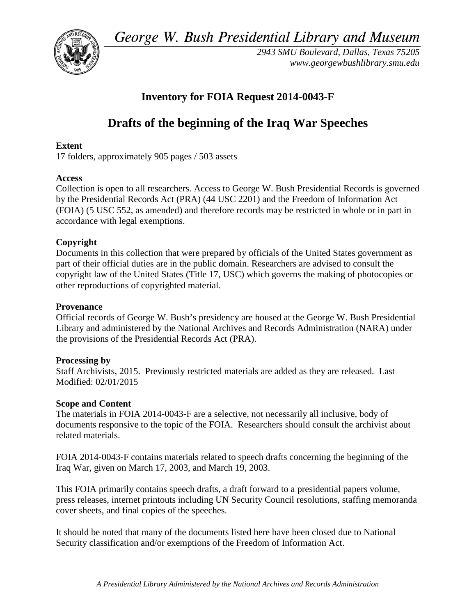*George W. Bush Presidential Library and Museum*



*2943 SMU Boulevard, Dallas, Texas 75205 www.georgewbushlibrary.smu.edu*

## **Inventory for FOIA Request 2014-0043-F**

# **Drafts of the beginning of the Iraq War Speeches**

## **Extent**

17 folders, approximately 905 pages / 503 assets

## **Access**

Collection is open to all researchers. Access to George W. Bush Presidential Records is governed by the Presidential Records Act (PRA) (44 USC 2201) and the Freedom of Information Act (FOIA) (5 USC 552, as amended) and therefore records may be restricted in whole or in part in accordance with legal exemptions.

## **Copyright**

Documents in this collection that were prepared by officials of the United States government as part of their official duties are in the public domain. Researchers are advised to consult the copyright law of the United States (Title 17, USC) which governs the making of photocopies or other reproductions of copyrighted material.

## **Provenance**

Official records of George W. Bush's presidency are housed at the George W. Bush Presidential Library and administered by the National Archives and Records Administration (NARA) under the provisions of the Presidential Records Act (PRA).

## **Processing by**

Staff Archivists, 2015. Previously restricted materials are added as they are released. Last Modified: 02/01/2015

## **Scope and Content**

The materials in FOIA 2014-0043-F are a selective, not necessarily all inclusive, body of documents responsive to the topic of the FOIA. Researchers should consult the archivist about related materials.

FOIA 2014-0043-F contains materials related to speech drafts concerning the beginning of the Iraq War, given on March 17, 2003, and March 19, 2003.

This FOIA primarily contains speech drafts, a draft forward to a presidential papers volume, press releases, internet printouts including UN Security Council resolutions, staffing memoranda cover sheets, and final copies of the speeches.

It should be noted that many of the documents listed here have been closed due to National Security classification and/or exemptions of the Freedom of Information Act.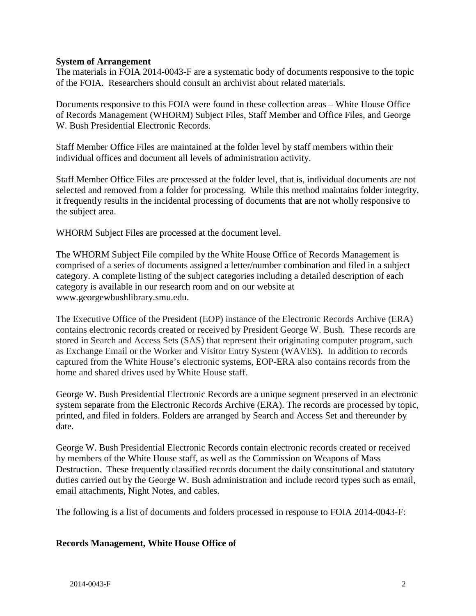#### **System of Arrangement**

The materials in FOIA 2014-0043-F are a systematic body of documents responsive to the topic of the FOIA. Researchers should consult an archivist about related materials.

Documents responsive to this FOIA were found in these collection areas – White House Office of Records Management (WHORM) Subject Files, Staff Member and Office Files, and George W. Bush Presidential Electronic Records.

Staff Member Office Files are maintained at the folder level by staff members within their individual offices and document all levels of administration activity.

Staff Member Office Files are processed at the folder level, that is, individual documents are not selected and removed from a folder for processing. While this method maintains folder integrity, it frequently results in the incidental processing of documents that are not wholly responsive to the subject area.

WHORM Subject Files are processed at the document level.

The WHORM Subject File compiled by the White House Office of Records Management is comprised of a series of documents assigned a letter/number combination and filed in a subject category. A complete listing of the subject categories including a detailed description of each category is available in our research room and on our website at www.georgewbushlibrary.smu.edu.

The Executive Office of the President (EOP) instance of the Electronic Records Archive (ERA) contains electronic records created or received by President George W. Bush. These records are stored in Search and Access Sets (SAS) that represent their originating computer program, such as Exchange Email or the Worker and Visitor Entry System (WAVES). In addition to records captured from the White House's electronic systems, EOP-ERA also contains records from the home and shared drives used by White House staff.

George W. Bush Presidential Electronic Records are a unique segment preserved in an electronic system separate from the Electronic Records Archive (ERA). The records are processed by topic, printed, and filed in folders. Folders are arranged by Search and Access Set and thereunder by date.

George W. Bush Presidential Electronic Records contain electronic records created or received by members of the White House staff, as well as the Commission on Weapons of Mass Destruction. These frequently classified records document the daily constitutional and statutory duties carried out by the George W. Bush administration and include record types such as email, email attachments, Night Notes, and cables.

The following is a list of documents and folders processed in response to FOIA 2014-0043-F:

## **Records Management, White House Office of**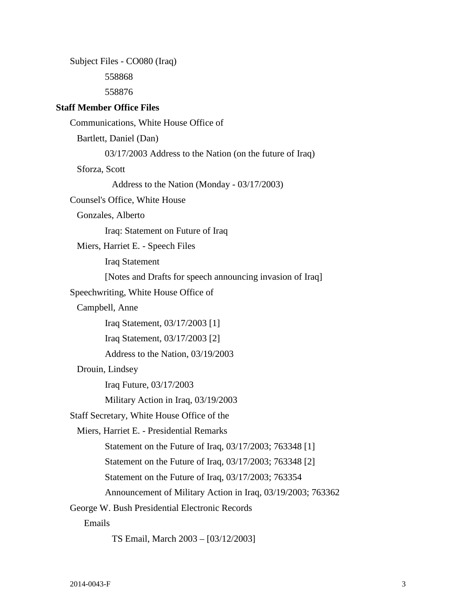| Subject Files - CO080 (Iraq)                                |
|-------------------------------------------------------------|
| 558868                                                      |
| 558876                                                      |
| <b>Staff Member Office Files</b>                            |
| Communications, White House Office of                       |
| Bartlett, Daniel (Dan)                                      |
| 03/17/2003 Address to the Nation (on the future of Iraq)    |
| Sforza, Scott                                               |
| Address to the Nation (Monday - 03/17/2003)                 |
| Counsel's Office, White House                               |
| Gonzales, Alberto                                           |
| Iraq: Statement on Future of Iraq                           |
| Miers, Harriet E. - Speech Files                            |
| <b>Iraq Statement</b>                                       |
| [Notes and Drafts for speech announcing invasion of Iraq]   |
| Speechwriting, White House Office of                        |
| Campbell, Anne                                              |
| Iraq Statement, 03/17/2003 [1]                              |
| Iraq Statement, 03/17/2003 [2]                              |
| Address to the Nation, 03/19/2003                           |
| Drouin, Lindsey                                             |
| Iraq Future, 03/17/2003                                     |
| Military Action in Iraq, 03/19/2003                         |
| Staff Secretary, White House Office of the                  |
| Miers, Harriet E. - Presidential Remarks                    |
| Statement on the Future of Iraq, 03/17/2003; 763348 [1]     |
| Statement on the Future of Iraq, 03/17/2003; 763348 [2]     |
| Statement on the Future of Iraq, 03/17/2003; 763354         |
| Announcement of Military Action in Iraq, 03/19/2003; 763362 |
| George W. Bush Presidential Electronic Records              |
| Emails                                                      |
| TS Email, March 2003 - [03/12/2003]                         |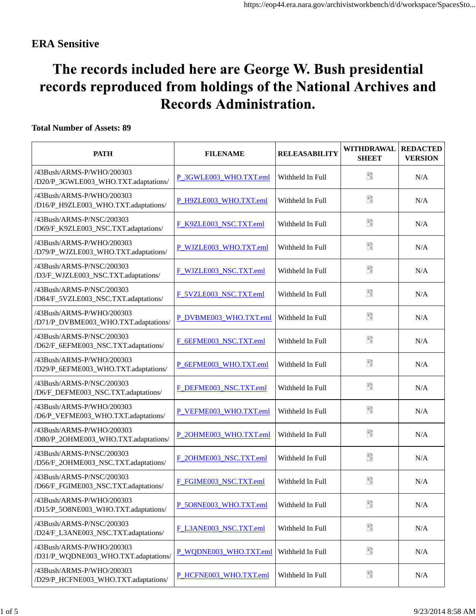## **ERA Sensitive**

# The records included here are George W. Bush presidential records reproduced from holdings of the National Archives and **Records Administration.**

## **Total Number of Assets: 89**

| <b>PATH</b>                                                       | <b>FILENAME</b>        | <b>RELEASABILITY</b> | WITHDRAWAL<br><b>SHEET</b> | <b>REDACTED</b><br><b>VERSION</b> |
|-------------------------------------------------------------------|------------------------|----------------------|----------------------------|-----------------------------------|
| /43Bush/ARMS-P/WHO/200303<br>/D20/P_3GWLE003_WHO.TXT.adaptations/ | P_3GWLE003_WHO.TXT.eml | Withheld In Full     | Ŧ                          | N/A                               |
| /43Bush/ARMS-P/WHO/200303<br>/D16/P_H9ZLE003_WHO.TXT.adaptations/ | P_H9ZLE003_WHO.TXT.eml | Withheld In Full     | B                          | N/A                               |
| /43Bush/ARMS-P/NSC/200303<br>/D69/F_K9ZLE003_NSC.TXT.adaptations/ | F_K9ZLE003_NSC.TXT.eml | Withheld In Full     | B                          | N/A                               |
| /43Bush/ARMS-P/WHO/200303<br>/D79/P_WJZLE003_WHO.TXT.adaptations/ | P_WJZLE003_WHO.TXT.eml | Withheld In Full     | B                          | N/A                               |
| /43Bush/ARMS-P/NSC/200303<br>/D3/F_WJZLE003_NSC.TXT.adaptations/  | F_WJZLE003_NSC.TXT.eml | Withheld In Full     | Đ                          | N/A                               |
| /43Bush/ARMS-P/NSC/200303<br>/D84/F_5VZLE003_NSC.TXT.adaptations/ | F_5VZLE003_NSC.TXT.eml | Withheld In Full     | Đ                          | N/A                               |
| /43Bush/ARMS-P/WHO/200303<br>/D71/P_DVBME003_WHO.TXT.adaptations/ | P DVBME003 WHO.TXT.eml | Withheld In Full     | B                          | N/A                               |
| /43Bush/ARMS-P/NSC/200303<br>/D62/F_6EFME003_NSC.TXT.adaptations/ | F 6EFME003 NSC.TXT.eml | Withheld In Full     | 體                          | N/A                               |
| /43Bush/ARMS-P/WHO/200303<br>/D29/P_6EFME003_WHO.TXT.adaptations/ | P_6EFME003_WHO.TXT.eml | Withheld In Full     | Đ                          | N/A                               |
| /43Bush/ARMS-P/NSC/200303<br>/D6/F_DEFME003_NSC.TXT.adaptations/  | F_DEFME003_NSC.TXT.eml | Withheld In Full     | Đ                          | N/A                               |
| /43Bush/ARMS-P/WHO/200303<br>/D6/P_VEFME003_WHO.TXT.adaptations/  | P_VEFME003_WHO.TXT.eml | Withheld In Full     | Đ                          | N/A                               |
| /43Bush/ARMS-P/WHO/200303<br>/D80/P_2OHME003_WHO.TXT.adaptations/ | P_2OHME003_WHO.TXT.eml | Withheld In Full     | Đ                          | N/A                               |
| /43Bush/ARMS-P/NSC/200303<br>/D56/F_2OHME003_NSC.TXT.adaptations/ | F_2OHME003_NSC.TXT.eml | Withheld In Full     | Đ                          | N/A                               |
| /43Bush/ARMS-P/NSC/200303<br>/D66/F_FGIME003_NSC.TXT.adaptations/ | F_FGIME003_NSC.TXT.eml | Withheld In Full     | Ŧ                          | N/A                               |
| /43Bush/ARMS-P/WHO/200303<br>/D15/P_5O8NE003_WHO.TXT.adaptations/ | P_5O8NE003_WHO.TXT.eml | Withheld In Full     | 體                          | N/A                               |
| /43Bush/ARMS-P/NSC/200303<br>/D24/F_L3ANE003_NSC.TXT.adaptations/ | F_L3ANE003_NSC.TXT.eml | Withheld In Full     | 體                          | N/A                               |
| /43Bush/ARMS-P/WHO/200303<br>/D31/P_WQDNE003_WHO.TXT.adaptations/ | P_WQDNE003_WHO.TXT.eml | Withheld In Full     | 醋                          | N/A                               |
| /43Bush/ARMS-P/WHO/200303<br>/D29/P_HCFNE003_WHO.TXT.adaptations/ | P_HCFNE003_WHO.TXT.eml | Withheld In Full     | 腊                          | N/A                               |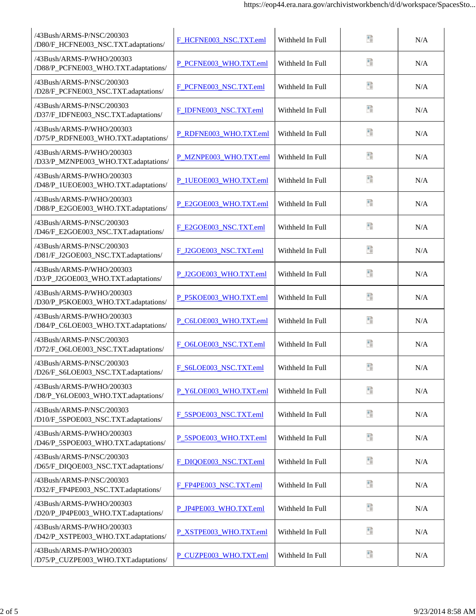| /43Bush/ARMS-P/NSC/200303<br>/D80/F_HCFNE003_NSC.TXT.adaptations/ | F_HCFNE003_NSC.TXT.eml | Withheld In Full | Ŧ | N/A |
|-------------------------------------------------------------------|------------------------|------------------|---|-----|
| /43Bush/ARMS-P/WHO/200303<br>/D88/P_PCFNE003_WHO.TXT.adaptations/ | P_PCFNE003_WHO.TXT.eml | Withheld In Full | n | N/A |
| /43Bush/ARMS-P/NSC/200303<br>/D28/F_PCFNE003_NSC.TXT.adaptations/ | F PCFNE003 NSC.TXT.eml | Withheld In Full | B | N/A |
| /43Bush/ARMS-P/NSC/200303<br>/D37/F_IDFNE003_NSC.TXT.adaptations/ | F_IDFNE003_NSC.TXT.eml | Withheld In Full | n | N/A |
| /43Bush/ARMS-P/WHO/200303<br>/D75/P_RDFNE003_WHO.TXT.adaptations/ | P_RDFNE003_WHO.TXT.eml | Withheld In Full | Ð | N/A |
| /43Bush/ARMS-P/WHO/200303<br>/D33/P_MZNPE003_WHO.TXT.adaptations/ | P_MZNPE003_WHO.TXT.eml | Withheld In Full | 醋 | N/A |
| /43Bush/ARMS-P/WHO/200303<br>/D48/P_1UEOE003_WHO.TXT.adaptations/ | P_1UEOE003_WHO.TXT.eml | Withheld In Full | 됍 | N/A |
| /43Bush/ARMS-P/WHO/200303<br>/D88/P_E2GOE003_WHO.TXT.adaptations/ | P E2GOE003 WHO.TXT.eml | Withheld In Full | Ð | N/A |
| /43Bush/ARMS-P/NSC/200303<br>/D46/F_E2GOE003_NSC.TXT.adaptations/ | F E2GOE003 NSC.TXT.eml | Withheld In Full | B | N/A |
| /43Bush/ARMS-P/NSC/200303<br>/D81/F_J2GOE003_NSC.TXT.adaptations/ | F_J2GOE003_NSC.TXT.eml | Withheld In Full | Đ | N/A |
| /43Bush/ARMS-P/WHO/200303<br>/D3/P_J2GOE003_WHO.TXT.adaptations/  | P_J2GOE003_WHO.TXT.eml | Withheld In Full | Đ | N/A |
| /43Bush/ARMS-P/WHO/200303<br>/D30/P_P5KOE003_WHO.TXT.adaptations/ | P_P5KOE003_WHO.TXT.eml | Withheld In Full | Đ | N/A |
| /43Bush/ARMS-P/WHO/200303<br>/D84/P_C6LOE003_WHO.TXT.adaptations/ | P_C6LOE003_WHO.TXT.eml | Withheld In Full | Đ | N/A |
| /43Bush/ARMS-P/NSC/200303<br>/D72/F_O6LOE003_NSC.TXT.adaptations/ | F_O6LOE003_NSC.TXT.eml | Withheld In Full | Đ | N/A |
| /43Bush/ARMS-P/NSC/200303<br>/D26/F_S6LOE003_NSC.TXT.adaptations/ | F_S6LOE003_NSC.TXT.eml | Withheld In Full | Đ | N/A |
| /43Bush/ARMS-P/WHO/200303<br>/D8/P_Y6LOE003_WHO.TXT.adaptations/  | P_Y6LOE003_WHO.TXT.eml | Withheld In Full | Đ | N/A |
| /43Bush/ARMS-P/NSC/200303<br>/D10/F_5SPOE003_NSC.TXT.adaptations/ | F_5SPOE003_NSC.TXT.eml | Withheld In Full | Đ | N/A |
| /43Bush/ARMS-P/WHO/200303<br>/D46/P_5SPOE003_WHO.TXT.adaptations/ | P_5SPOE003_WHO.TXT.eml | Withheld In Full | Đ | N/A |
| /43Bush/ARMS-P/NSC/200303<br>/D65/F_DIQOE003_NSC.TXT.adaptations/ | F DIQOE003 NSC.TXT.eml | Withheld In Full | 腊 | N/A |
| /43Bush/ARMS-P/NSC/200303<br>/D32/F_FP4PE003_NSC.TXT.adaptations/ | F_FP4PE003_NSC.TXT.eml | Withheld In Full | Đ | N/A |
| /43Bush/ARMS-P/WHO/200303<br>/D20/P_JP4PE003_WHO.TXT.adaptations/ | P_JP4PE003_WHO.TXT.eml | Withheld In Full | ť | N/A |
| /43Bush/ARMS-P/WHO/200303<br>/D42/P_XSTPE003_WHO.TXT.adaptations/ | P_XSTPE003_WHO.TXT.eml | Withheld In Full | Đ | N/A |
| /43Bush/ARMS-P/WHO/200303<br>/D75/P_CUZPE003_WHO.TXT.adaptations/ | P_CUZPE003_WHO.TXT.eml | Withheld In Full | Đ | N/A |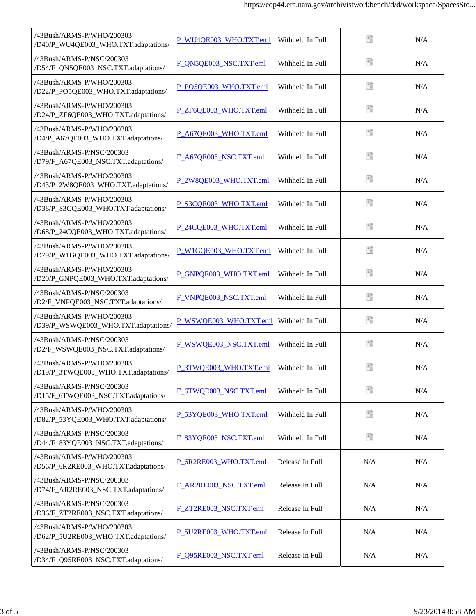| /43Bush/ARMS-P/WHO/200303<br>/D40/P_WU4QE003_WHO.TXT.adaptations/ | P_WU4QE003_WHO.TXT.eml | Withheld In Full | 腊   | N/A |
|-------------------------------------------------------------------|------------------------|------------------|-----|-----|
| /43Bush/ARMS-P/NSC/200303<br>/D54/F_QN5QE003_NSC.TXT.adaptations/ | F_QN5QE003_NSC.TXT.eml | Withheld In Full | n   | N/A |
| /43Bush/ARMS-P/WHO/200303<br>/D22/P_PO5QE003_WHO.TXT.adaptations/ | P_PO5QE003_WHO.TXT.eml | Withheld In Full | B   | N/A |
| /43Bush/ARMS-P/WHO/200303<br>/D24/P_ZF6QE003_WHO.TXT.adaptations/ | P_ZF6QE003_WHO.TXT.eml | Withheld In Full | n   | N/A |
| /43Bush/ARMS-P/WHO/200303<br>/D4/P_A67QE003_WHO.TXT.adaptations/  | P_A67QE003_WHO.TXT.eml | Withheld In Full | Ð   | N/A |
| /43Bush/ARMS-P/NSC/200303<br>/D79/F_A67QE003_NSC.TXT.adaptations/ | F_A67QE003_NSC.TXT.eml | Withheld In Full | Ŧ   | N/A |
| /43Bush/ARMS-P/WHO/200303<br>/D43/P_2W8QE003_WHO.TXT.adaptations/ | P_2W8QE003_WHO.TXT.eml | Withheld In Full | 醋   | N/A |
| /43Bush/ARMS-P/WHO/200303<br>/D38/P_S3CQE003_WHO.TXT.adaptations/ | P_S3CQE003_WHO.TXT.eml | Withheld In Full | Ð   | N/A |
| /43Bush/ARMS-P/WHO/200303<br>/D68/P_24CQE003_WHO.TXT.adaptations/ | P 24CQE003 WHO.TXT.eml | Withheld In Full | Ħ   | N/A |
| /43Bush/ARMS-P/WHO/200303<br>/D79/P_W1GQE003_WHO.TXT.adaptations/ | P W1GQE003 WHO.TXT.eml | Withheld In Full | Đ   | N/A |
| /43Bush/ARMS-P/WHO/200303<br>/D20/P_GNPQE003_WHO.TXT.adaptations/ | P_GNPQE003_WHO.TXT.eml | Withheld In Full | Ŧ   | N/A |
| /43Bush/ARMS-P/NSC/200303<br>/D2/F_VNPQE003_NSC.TXT.adaptations/  | F_VNPQE003_NSC.TXT.eml | Withheld In Full | Đ   | N/A |
| /43Bush/ARMS-P/WHO/200303<br>/D39/P_WSWQE003_WHO.TXT.adaptations/ | P_WSWQE003_WHO.TXT.eml | Withheld In Full | Đ   | N/A |
| /43Bush/ARMS-P/NSC/200303<br>/D2/F_WSWQE003_NSC.TXT.adaptations/  | F_WSWQE003_NSC.TXT.eml | Withheld In Full | 팔   | N/A |
| /43Bush/ARMS-P/WHO/200303<br>/D19/P_3TWQE003_WHO.TXT.adaptations/ | P_3TWQE003_WHO.TXT.eml | Withheld In Full | Đ   | N/A |
| /43Bush/ARMS-P/NSC/200303<br>/D15/F_6TWQE003_NSC.TXT.adaptations/ | F_6TWQE003_NSC.TXT.eml | Withheld In Full | 醋   | N/A |
| /43Bush/ARMS-P/WHO/200303<br>/D82/P_53YQE003_WHO.TXT.adaptations/ | P_53YQE003_WHO.TXT.eml | Withheld In Full | Đ   | N/A |
| /43Bush/ARMS-P/NSC/200303<br>/D44/F_83YQE003_NSC.TXT.adaptations/ | F_83YQE003_NSC.TXT.eml | Withheld In Full | Đ   | N/A |
| /43Bush/ARMS-P/WHO/200303<br>/D56/P_6R2RE003_WHO.TXT.adaptations/ | P_6R2RE003_WHO.TXT.eml | Release In Full  | N/A | N/A |
| /43Bush/ARMS-P/NSC/200303<br>/D74/F_AR2RE003_NSC.TXT.adaptations/ | F_AR2RE003_NSC.TXT.eml | Release In Full  | N/A | N/A |
| /43Bush/ARMS-P/NSC/200303<br>/D36/F_ZT2RE003_NSC.TXT.adaptations/ | F_ZT2RE003_NSC.TXT.eml | Release In Full  | N/A | N/A |
| /43Bush/ARMS-P/WHO/200303<br>/D62/P_5U2RE003_WHO.TXT.adaptations/ | P_5U2RE003_WHO.TXT.eml | Release In Full  | N/A | N/A |
| /43Bush/ARMS-P/NSC/200303<br>/D34/F_Q95RE003_NSC.TXT.adaptations/ | F_Q95RE003_NSC.TXT.eml | Release In Full  | N/A | N/A |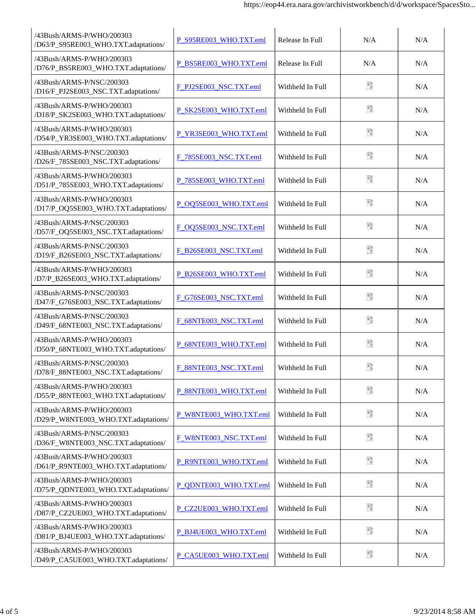| /43Bush/ARMS-P/WHO/200303<br>/D63/P_S95RE003_WHO.TXT.adaptations/ | P_S95RE003_WHO.TXT.eml | Release In Full  | N/A | N/A |
|-------------------------------------------------------------------|------------------------|------------------|-----|-----|
| /43Bush/ARMS-P/WHO/200303<br>/D76/P_BS5RE003_WHO.TXT.adaptations/ | P BS5RE003 WHO.TXT.eml | Release In Full  | N/A | N/A |
| /43Bush/ARMS-P/NSC/200303<br>/D16/F_PJ2SE003_NSC.TXT.adaptations/ | F_PJ2SE003_NSC.TXT.eml | Withheld In Full | Đ   | N/A |
| /43Bush/ARMS-P/WHO/200303<br>/D18/P_SK2SE003_WHO.TXT.adaptations/ | P_SK2SE003_WHO.TXT.eml | Withheld In Full | n   | N/A |
| /43Bush/ARMS-P/WHO/200303<br>/D54/P_YR3SE003_WHO.TXT.adaptations/ | P_YR3SE003_WHO.TXT.eml | Withheld In Full | n   | N/A |
| /43Bush/ARMS-P/NSC/200303<br>/D26/F_785SE003_NSC.TXT.adaptations/ | F_785SE003_NSC.TXT.eml | Withheld In Full | Ŧ   | N/A |
| /43Bush/ARMS-P/WHO/200303<br>/D51/P_785SE003_WHO.TXT.adaptations/ | P_785SE003_WHO.TXT.eml | Withheld In Full | Ŧ   | N/A |
| /43Bush/ARMS-P/WHO/200303<br>/D17/P_OQ5SE003_WHO.TXT.adaptations/ | P_OQ5SE003_WHO.TXT.eml | Withheld In Full | Đ   | N/A |
| /43Bush/ARMS-P/NSC/200303<br>/D57/F_OQ5SE003_NSC.TXT.adaptations/ | F OQ5SE003 NSC.TXT.eml | Withheld In Full | Đ   | N/A |
| /43Bush/ARMS-P/NSC/200303<br>/D19/F_B26SE003_NSC.TXT.adaptations/ | F_B26SE003_NSC.TXT.eml | Withheld In Full | Ð   | N/A |
| /43Bush/ARMS-P/WHO/200303<br>/D7/P_B26SE003_WHO.TXT.adaptations/  | P_B26SE003_WHO.TXT.eml | Withheld In Full | Đ   | N/A |
| /43Bush/ARMS-P/NSC/200303<br>/D47/F_G76SE003_NSC.TXT.adaptations/ | F_G76SE003_NSC.TXT.eml | Withheld In Full | Đ   | N/A |
| /43Bush/ARMS-P/NSC/200303<br>/D49/F_68NTE003_NSC.TXT.adaptations/ | F_68NTE003_NSC.TXT.eml | Withheld In Full | Đ   | N/A |
| /43Bush/ARMS-P/WHO/200303<br>/D50/P_68NTE003_WHO.TXT.adaptations/ | P 68NTE003 WHO.TXT.eml | Withheld In Full | Ð   | N/A |
| /43Bush/ARMS-P/NSC/200303<br>/D78/F_88NTE003_NSC.TXT.adaptations/ | F_88NTE003_NSC.TXT.eml | Withheld In Full | Đ   | N/A |
| /43Bush/ARMS-P/WHO/200303<br>/D55/P_88NTE003_WHO.TXT.adaptations/ | P_88NTE003_WHO.TXT.eml | Withheld In Full | Đ   | N/A |
| /43Bush/ARMS-P/WHO/200303<br>/D29/P_W8NTE003_WHO.TXT.adaptations/ | P_W8NTE003_WHO.TXT.eml | Withheld In Full | Đ   | N/A |
| /43Bush/ARMS-P/NSC/200303<br>/D36/F_W8NTE003_NSC.TXT.adaptations/ | F_W8NTE003_NSC.TXT.eml | Withheld In Full | Đ   | N/A |
| /43Bush/ARMS-P/WHO/200303<br>/D61/P_R9NTE003_WHO.TXT.adaptations/ | P_R9NTE003_WHO.TXT.eml | Withheld In Full | Đ   | N/A |
| /43Bush/ARMS-P/WHO/200303<br>/D75/P_QDNTE003_WHO.TXT.adaptations/ | P_QDNTE003_WHO.TXT.eml | Withheld In Full | Đ   | N/A |
| /43Bush/ARMS-P/WHO/200303<br>/D87/P_CZ2UE003_WHO.TXT.adaptations/ | P_CZ2UE003_WHO.TXT.eml | Withheld In Full | Đ   | N/A |
| /43Bush/ARMS-P/WHO/200303<br>/D81/P_BJ4UE003_WHO.TXT.adaptations/ | P_BJ4UE003_WHO.TXT.eml | Withheld In Full | Đ   | N/A |
| /43Bush/ARMS-P/WHO/200303<br>/D49/P_CA5UE003_WHO.TXT.adaptations/ | P_CA5UE003_WHO.TXT.eml | Withheld In Full | Đ   | N/A |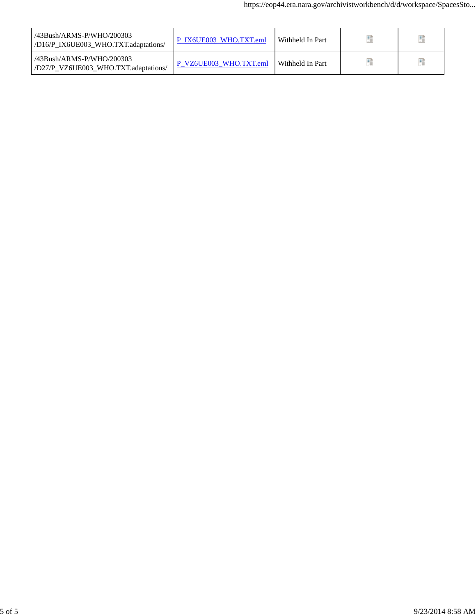| /43Bush/ARMS-P/WHO/200303<br>/D16/P IX6UE003 WHO.TXT.adaptations/ | P IX6UE003 WHO.TXT.eml | Withheld In Part |  |
|-------------------------------------------------------------------|------------------------|------------------|--|
| /43Bush/ARMS-P/WHO/200303<br>/D27/P_VZ6UE003_WHO.TXT.adaptations/ | P VZ6UE003 WHO.TXT.eml | Withheld In Part |  |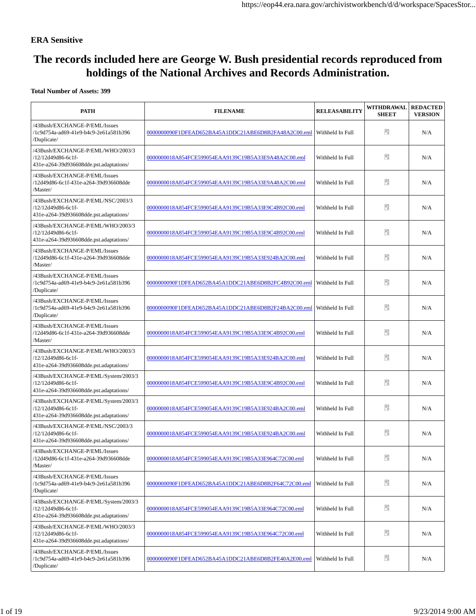#### **ERA Sensitive**

## **The records included here are George W. Bush presidential records reproduced from holdings of the National Archives and Records Administration.**

#### **Total Number of Assets: 399**

| <b>PATH</b>                                                                                           | <b>FILENAME</b>                                      | <b>RELEASABILITY</b> | WITHDRAWAL<br><b>SHEET</b> | <b>REDACTED</b><br><b>VERSION</b> |
|-------------------------------------------------------------------------------------------------------|------------------------------------------------------|----------------------|----------------------------|-----------------------------------|
| /43Bush/EXCHANGE-P/EML/Issues<br>/1c9d754a-ad69-41e9-b4c9-2e61a581b396<br>/Duplicate/                 | 0000000090F1DFEAD652BA45A1DDC21ABE6D8B2FA48A2C00.eml | Withheld In Full     | Ħ                          | N/A                               |
| /43Bush/EXCHANGE-P/EML/WHO/2003/3<br>/12/12d49d86-6c1f-<br>431e-a264-39d936608dde.pst.adaptations/    | 0000000018A854FCE599054EAA9139C19B5A33E9A48A2C00.eml | Withheld In Full     | ÷.                         | N/A                               |
| /43Bush/EXCHANGE-P/EML/Issues<br>/12d49d86-6c1f-431e-a264-39d936608dde<br>/Master/                    | 0000000018A854FCE599054EAA9139C19B5A33E9A48A2C00.eml | Withheld In Full     | n                          | N/A                               |
| /43Bush/EXCHANGE-P/EML/NSC/2003/3<br>/12/12d49d86-6c1f-<br>431e-a264-39d936608dde.pst.adaptations/    | 0000000018A854FCE599054EAA9139C19B5A33E9C4B92C00.eml | Withheld In Full     | Ħ.                         | N/A                               |
| /43Bush/EXCHANGE-P/EML/WHO/2003/3<br>/12/12d49d86-6c1f-<br>431e-a264-39d936608dde.pst.adaptations/    | 0000000018A854FCE599054EAA9139C19B5A33E9C4B92C00.eml | Withheld In Full     | Ħ.                         | N/A                               |
| /43Bush/EXCHANGE-P/EML/Issues<br>/12d49d86-6c1f-431e-a264-39d936608dde<br>/Master/                    | 0000000018A854FCE599054EAA9139C19B5A33E924BA2C00.eml | Withheld In Full     | Ħ                          | N/A                               |
| /43Bush/EXCHANGE-P/EML/Issues<br>/1c9d754a-ad69-41e9-b4c9-2e61a581b396<br>/Duplicate/                 | 0000000090F1DFEAD652BA45A1DDC21ABE6D8B2FC4B92C00.eml | Withheld In Full     | Ŧ                          | N/A                               |
| /43Bush/EXCHANGE-P/EML/Issues<br>/1c9d754a-ad69-41e9-b4c9-2e61a581b396<br>/Duplicate/                 | 0000000090F1DFEAD652BA45A1DDC21ABE6D8B2F24BA2C00.eml | Withheld In Full     | Ŧ                          | N/A                               |
| /43Bush/EXCHANGE-P/EML/Issues<br>/12d49d86-6c1f-431e-a264-39d936608dde<br>/Master/                    | 0000000018A854FCE599054EAA9139C19B5A33E9C4B92C00.eml | Withheld In Full     | Ŧ                          | N/A                               |
| /43Bush/EXCHANGE-P/EML/WHO/2003/3<br>/12/12d49d86-6c1f-<br>431e-a264-39d936608dde.pst.adaptations/    | 0000000018A854FCE599054EAA9139C19B5A33E924BA2C00.eml | Withheld In Full     | n                          | N/A                               |
| /43Bush/EXCHANGE-P/EML/System/2003/3<br>/12/12d49d86-6c1f-<br>431e-a264-39d936608dde.pst.adaptations/ | 0000000018A854FCE599054EAA9139C19B5A33E9C4B92C00.eml | Withheld In Full     | Ŧ                          | N/A                               |
| /43Bush/EXCHANGE-P/EML/System/2003/3<br>/12/12d49d86-6c1f-<br>431e-a264-39d936608dde.pst.adaptations/ | 0000000018A854FCE599054EAA9139C19B5A33E924BA2C00.eml | Withheld In Full     | Ŧ                          | N/A                               |
| /43Bush/EXCHANGE-P/EML/NSC/2003/3<br>/12/12d49d86-6c1f-<br>431e-a264-39d936608dde.pst.adaptations/    | 0000000018A854FCE599054EAA9139C19B5A33E924BA2C00.eml | Withheld In Full     | 9                          | N/A                               |
| /43Bush/EXCHANGE-P/EML/Issues<br>/12d49d86-6c1f-431e-a264-39d936608dde<br>/Master/                    | 0000000018A854FCE599054EAA9139C19B5A33E964C72C00.eml | Withheld In Full     | 昵                          | N/A                               |
| /43Bush/EXCHANGE-P/EML/Issues<br>/1c9d754a-ad69-41e9-b4c9-2e61a581b396<br>/Duplicate/                 | 0000000090F1DFEAD652BA45A1DDC21ABE6D8B2F64C72C00.eml | Withheld In Full     | P)                         | N/A                               |
| /43Bush/EXCHANGE-P/EML/System/2003/3<br>/12/12d49d86-6c1f-<br>431e-a264-39d936608dde.pst.adaptations/ | 0000000018A854FCE599054EAA9139C19B5A33E964C72C00.eml | Withheld In Full     | P)                         | N/A                               |
| /43Bush/EXCHANGE-P/EML/WHO/2003/3<br>/12/12d49d86-6c1f-<br>431e-a264-39d936608dde.pst.adaptations/    | 0000000018A854FCE599054EAA9139C19B5A33E964C72C00.eml | Withheld In Full     | 50                         | N/A                               |
| /43Bush/EXCHANGE-P/EML/Issues<br>/1c9d754a-ad69-41e9-b4c9-2e61a581b396<br>/Duplicate/                 | 0000000090F1DFEAD652BA45A1DDC21ABE6D8B2FE40A2E00.eml | Withheld In Full     | 50                         | N/A                               |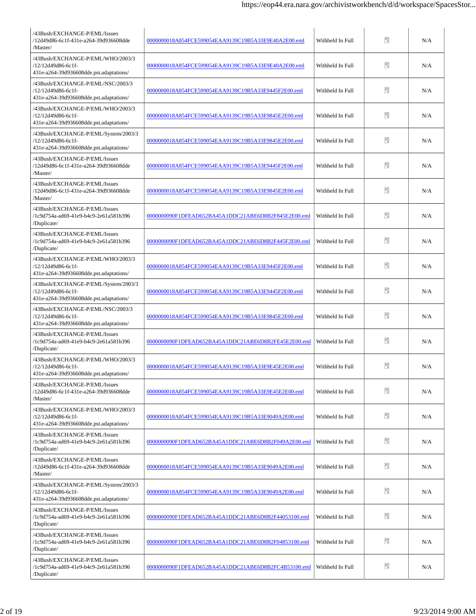| /43Bush/EXCHANGE-P/EML/Issues<br>/12d49d86-6c1f-431e-a264-39d936608dde<br>/Master/                    | 0000000018A854FCE599054EAA9139C19B5A33E9E40A2E00.eml | Withheld In Full | Ħ  | N/A |
|-------------------------------------------------------------------------------------------------------|------------------------------------------------------|------------------|----|-----|
| /43Bush/EXCHANGE-P/EML/WHO/2003/3<br>/12/12d49d86-6c1f-<br>431e-a264-39d936608dde.pst.adaptations/    | 0000000018A854FCE599054EAA9139C19B5A33E9E40A2E00.eml | Withheld In Full | Ŧ  | N/A |
| /43Bush/EXCHANGE-P/EML/NSC/2003/3<br>/12/12d49d86-6c1f-<br>431e-a264-39d936608dde.pst.adaptations/    | 0000000018A854FCE599054EAA9139C19B5A33E9445F2E00.eml | Withheld In Full | Ŧ  | N/A |
| /43Bush/EXCHANGE-P/EML/WHO/2003/3<br>/12/12d49d86-6c1f-<br>431e-a264-39d936608dde.pst.adaptations/    | 0000000018A854FCE599054EAA9139C19B5A33E9845E2E00.eml | Withheld In Full | Ŧ  | N/A |
| /43Bush/EXCHANGE-P/EML/System/2003/3<br>/12/12d49d86-6c1f-<br>431e-a264-39d936608dde.pst.adaptations/ | 0000000018A854FCE599054EAA9139C19B5A33E9845E2E00.eml | Withheld In Full | Ŧ  | N/A |
| /43Bush/EXCHANGE-P/EML/Issues<br>/12d49d86-6c1f-431e-a264-39d936608dde<br>/Master/                    | 0000000018A854FCE599054EAA9139C19B5A33E9445F2E00.eml | Withheld In Full | Ŧ  | N/A |
| /43Bush/EXCHANGE-P/EML/Issues<br>/12d49d86-6c1f-431e-a264-39d936608dde<br>/Master/                    | 0000000018A854FCE599054EAA9139C19B5A33E9845E2E00.eml | Withheld In Full | n  | N/A |
| /43Bush/EXCHANGE-P/EML/Issues<br>/1c9d754a-ad69-41e9-b4c9-2e61a581b396<br>/Duplicate/                 | 0000000090F1DFEAD652BA45A1DDC21ABE6D8B2F845E2E00.eml | Withheld In Full | Ħ  | N/A |
| /43Bush/EXCHANGE-P/EML/Issues<br>/1c9d754a-ad69-41e9-b4c9-2e61a581b396<br>/Duplicate/                 | 0000000090F1DFEAD652BA45A1DDC21ABE6D8B2F445F2E00.eml | Withheld In Full | Ŧ  | N/A |
| /43Bush/EXCHANGE-P/EML/WHO/2003/3<br>/12/12d49d86-6c1f-<br>431e-a264-39d936608dde.pst.adaptations/    | 0000000018A854FCE599054EAA9139C19B5A33E9445F2E00.eml | Withheld In Full | Ħ  | N/A |
| /43Bush/EXCHANGE-P/EML/System/2003/3<br>/12/12d49d86-6c1f-<br>431e-a264-39d936608dde.pst.adaptations/ | 0000000018A854FCE599054EAA9139C19B5A33E9445F2E00.eml | Withheld In Full | n  | N/A |
| /43Bush/EXCHANGE-P/EML/NSC/2003/3<br>/12/12d49d86-6c1f-<br>431e-a264-39d936608dde.pst.adaptations/    | 0000000018A854FCE599054EAA9139C19B5A33E9845E2E00.eml | Withheld In Full | Ħ  | N/A |
| /43Bush/EXCHANGE-P/EML/Issues<br>/1c9d754a-ad69-41e9-b4c9-2e61a581b396<br>/Duplicate/                 | 0000000090F1DFEAD652BA45A1DDC21ABE6D8B2FE45E2E00.eml | Withheld In Full | n  | N/A |
| /43Bush/EXCHANGE-P/EML/WHO/2003/3<br>/12/12d49d86-6c1f-<br>431e-a264-39d936608dde.pst.adaptations/    | 0000000018A854FCE599054EAA9139C19B5A33E9E45E2E00.eml | Withheld In Full | Ŧ. | N/A |
| /43Bush/EXCHANGE-P/EML/Issues<br>/12d49d86-6c1f-431e-a264-39d936608dde<br>/Master/                    | 0000000018A854FCE599054EAA9139C19B5A33E9E45E2E00.eml | Withheld In Full | 9  | N/A |
| /43Bush/EXCHANGE-P/EML/WHO/2003/3<br>/12/12d49d86-6c1f-<br>431e-a264-39d936608dde.pst.adaptations/    | 0000000018A854FCE599054EAA9139C19B5A33E9049A2E00.eml | Withheld In Full | ÷. | N/A |
| /43Bush/EXCHANGE-P/EML/Issues<br>/1c9d754a-ad69-41e9-b4c9-2e61a581b396<br>/Duplicate/                 | 0000000090F1DFEAD652BA45A1DDC21ABE6D8B2F049A2E00.eml | Withheld In Full | n  | N/A |
| /43Bush/EXCHANGE-P/EML/Issues<br>/12d49d86-6c1f-431e-a264-39d936608dde<br>/Master/                    | 0000000018A854FCE599054EAA9139C19B5A33E9049A2E00.eml | Withheld In Full | Ħ  | N/A |
| /43Bush/EXCHANGE-P/EML/System/2003/3<br>/12/12d49d86-6c1f-<br>431e-a264-39d936608dde.pst.adaptations/ | 0000000018A854FCE599054EAA9139C19B5A33E9049A2E00.eml | Withheld In Full | 90 | N/A |
| /43Bush/EXCHANGE-P/EML/Issues<br>/1c9d754a-ad69-41e9-b4c9-2e61a581b396<br>/Duplicate/                 | 0000000090F1DFEAD652BA45A1DDC21ABE6D8B2F44053100.eml | Withheld In Full | Đ  | N/A |
| /43Bush/EXCHANGE-P/EML/Issues<br>/1c9d754a-ad69-41e9-b4c9-2e61a581b396<br>/Duplicate/                 | 0000000090F1DFEAD652BA45A1DDC21ABE6D8B2F04853100.eml | Withheld In Full | n  | N/A |
| /43Bush/EXCHANGE-P/EML/Issues<br>/1c9d754a-ad69-41e9-b4c9-2e61a581b396<br>/Duplicate/                 | 0000000090F1DFEAD652BA45A1DDC21ABE6D8B2FC4B53100.eml | Withheld In Full | Ŧ  | N/A |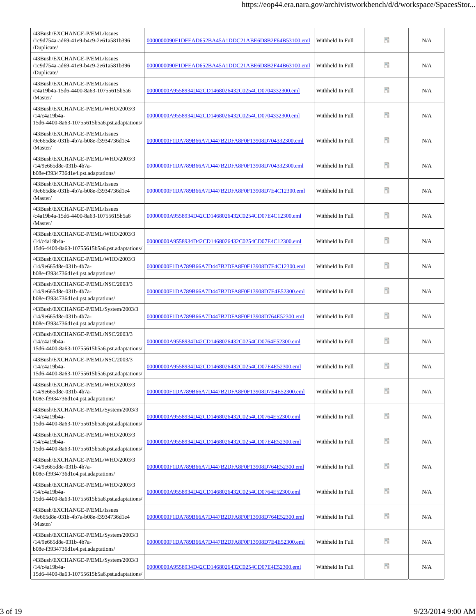| /43Bush/EXCHANGE-P/EML/Issues<br>/1c9d754a-ad69-41e9-b4c9-2e61a581b396<br>/Duplicate/                 | 0000000090F1DFEAD652BA45A1DDC21ABE6D8B2F64B53100.eml | Withheld In Full | Đ  | N/A |
|-------------------------------------------------------------------------------------------------------|------------------------------------------------------|------------------|----|-----|
| /43Bush/EXCHANGE-P/EML/Issues<br>/1c9d754a-ad69-41e9-b4c9-2e61a581b396<br>/Duplicate/                 | 0000000090F1DFEAD652BA45A1DDC21ABE6D8B2F44B63100.eml | Withheld In Full | Ŧ  | N/A |
| /43Bush/EXCHANGE-P/EML/Issues<br>/c4a19b4a-15d6-4400-8a63-10755615b5a6<br>/Master/                    | 00000000A9558934D42CD1468026432C0254CD0704332300.eml | Withheld In Full | Ŧ  | N/A |
| /43Bush/EXCHANGE-P/EML/WHO/2003/3<br>/14/c4a19b4a-<br>15d6-4400-8a63-10755615b5a6.pst.adaptations/    | 00000000A9558934D42CD1468026432C0254CD0704332300.eml | Withheld In Full | 昵  | N/A |
| /43Bush/EXCHANGE-P/EML/Issues<br>/9e665d8e-031b-4b7a-b08e-f3934736d1e4<br>/Master/                    | 00000000F1DA789B66A7D447B2DFA8F0F13908D704332300.eml | Withheld In Full | Ŧ  | N/A |
| /43Bush/EXCHANGE-P/EML/WHO/2003/3<br>/14/9e665d8e-031b-4b7a-<br>b08e-f3934736d1e4.pst.adaptations/    | 00000000F1DA789B66A7D447B2DFA8F0F13908D704332300.eml | Withheld In Full | Ŧ  | N/A |
| /43Bush/EXCHANGE-P/EML/Issues<br>/9e665d8e-031b-4b7a-b08e-f3934736d1e4<br>/Master/                    | 00000000F1DA789B66A7D447B2DFA8F0F13908D7E4C12300.eml | Withheld In Full | 昵  | N/A |
| /43Bush/EXCHANGE-P/EML/Issues<br>/c4a19b4a-15d6-4400-8a63-10755615b5a6<br>/Master/                    | 00000000A9558934D42CD1468026432C0254CD07E4C12300.eml | Withheld In Full | n  | N/A |
| /43Bush/EXCHANGE-P/EML/WHO/2003/3<br>/14/c4a19b4a-<br>15d6-4400-8a63-10755615b5a6.pst.adaptations/    | 00000000A9558934D42CD1468026432C0254CD07E4C12300.eml | Withheld In Full | Đ  | N/A |
| /43Bush/EXCHANGE-P/EML/WHO/2003/3<br>/14/9e665d8e-031b-4b7a-<br>b08e-f3934736d1e4.pst.adaptations/    | 00000000F1DA789B66A7D447B2DFA8F0F13908D7E4C12300.eml | Withheld In Full | n  | N/A |
| /43Bush/EXCHANGE-P/EML/NSC/2003/3<br>/14/9e665d8e-031b-4b7a-<br>b08e-f3934736d1e4.pst.adaptations/    | 00000000F1DA789B66A7D447B2DFA8F0F13908D7E4E52300.eml | Withheld In Full | Ŧ  | N/A |
| /43Bush/EXCHANGE-P/EML/System/2003/3<br>/14/9e665d8e-031b-4b7a-<br>b08e-f3934736d1e4.pst.adaptations/ | 00000000F1DA789B66A7D447B2DFA8F0F13908D764E52300.eml | Withheld In Full | P) | N/A |
| /43Bush/EXCHANGE-P/EML/NSC/2003/3<br>/14/c4a19b4a-<br>15d6-4400-8a63-10755615b5a6.pst.adaptations/    | 00000000A9558934D42CD1468026432C0254CD0764E52300.eml | Withheld In Full | n  | N/A |
| /43Bush/EXCHANGE-P/EML/NSC/2003/3<br>/14/c4a19b4a-<br>15d6-4400-8a63-10755615b5a6.pst.adaptations/    | 00000000A9558934D42CD1468026432C0254CD07E4E52300.eml | Withheld In Full | ÷. | N/A |
| /43Bush/EXCHANGE-P/EML/WHO/2003/3<br>/14/9e665d8e-031b-4b7a-<br>b08e-f3934736d1e4.pst.adaptations/    | 00000000F1DA789B66A7D447B2DFA8F0F13908D7E4E52300.eml | Withheld In Full | 9  | N/A |
| /43Bush/EXCHANGE-P/EML/System/2003/3<br>/14/c4a19b4a-<br>15d6-4400-8a63-10755615b5a6.pst.adaptations/ | 00000000A9558934D42CD1468026432C0254CD0764E52300.eml | Withheld In Full | 50 | N/A |
| /43Bush/EXCHANGE-P/EML/WHO/2003/3<br>/14/c4a19b4a-<br>15d6-4400-8a63-10755615b5a6.pst.adaptations/    | 00000000A9558934D42CD1468026432C0254CD07E4E52300.eml | Withheld In Full | Ŧ  | N/A |
| /43Bush/EXCHANGE-P/EML/WHO/2003/3<br>/14/9e665d8e-031b-4b7a-<br>b08e-f3934736d1e4.pst.adaptations/    | 00000000F1DA789B66A7D447B2DFA8F0F13908D764E52300.eml | Withheld In Full | Đ  | N/A |
| /43Bush/EXCHANGE-P/EML/WHO/2003/3<br>/14/c4a19b4a-<br>15d6-4400-8a63-10755615b5a6.pst.adaptations/    | 00000000A9558934D42CD1468026432C0254CD0764E52300.eml | Withheld In Full | 9  | N/A |
| /43Bush/EXCHANGE-P/EML/Issues<br>/9e665d8e-031b-4b7a-b08e-f3934736d1e4<br>/Master/                    | 00000000F1DA789B66A7D447B2DFA8F0F13908D764E52300.eml | Withheld In Full | 昵  | N/A |
| /43Bush/EXCHANGE-P/EML/System/2003/3<br>/14/9e665d8e-031b-4b7a-<br>b08e-f3934736d1e4.pst.adaptations/ | 00000000F1DA789B66A7D447B2DFA8F0F13908D7E4E52300.eml | Withheld In Full | 昵  | N/A |
| /43Bush/EXCHANGE-P/EML/System/2003/3<br>/14/c4a19b4a-<br>15d6-4400-8a63-10755615b5a6.pst.adaptations/ | 00000000A9558934D42CD1468026432C0254CD07E4E52300.eml | Withheld In Full | Ŧ  | N/A |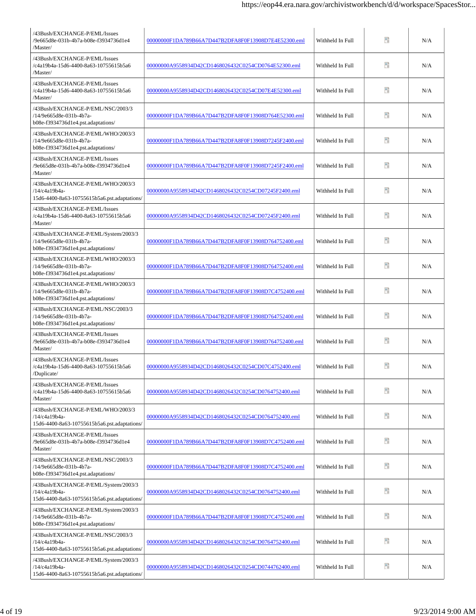| /43Bush/EXCHANGE-P/EML/Issues<br>/9e665d8e-031b-4b7a-b08e-f3934736d1e4<br>/Master/                    | 00000000F1DA789B66A7D447B2DFA8F0F13908D7E4E52300.eml | Withheld In Full | 9   | N/A |
|-------------------------------------------------------------------------------------------------------|------------------------------------------------------|------------------|-----|-----|
| /43Bush/EXCHANGE-P/EML/Issues<br>/c4a19b4a-15d6-4400-8a63-10755615b5a6<br>/Master/                    | 00000000A9558934D42CD1468026432C0254CD0764E52300.eml | Withheld In Full | 90  | N/A |
| /43Bush/EXCHANGE-P/EML/Issues<br>/c4a19b4a-15d6-4400-8a63-10755615b5a6<br>/Master/                    | 00000000A9558934D42CD1468026432C0254CD07E4E52300.eml | Withheld In Full | н   | N/A |
| /43Bush/EXCHANGE-P/EML/NSC/2003/3<br>/14/9e665d8e-031b-4b7a-<br>b08e-f3934736d1e4.pst.adaptations/    | 00000000F1DA789B66A7D447B2DFA8F0F13908D764E52300.eml | Withheld In Full | 暗   | N/A |
| /43Bush/EXCHANGE-P/EML/WHO/2003/3<br>/14/9e665d8e-031b-4b7a-<br>b08e-f3934736d1e4.pst.adaptations/    | 00000000F1DA789B66A7D447B2DFA8F0F13908D7245F2400.eml | Withheld In Full | 90  | N/A |
| /43Bush/EXCHANGE-P/EML/Issues<br>/9e665d8e-031b-4b7a-b08e-f3934736d1e4<br>/Master/                    | 00000000F1DA789B66A7D447B2DFA8F0F13908D7245F2400.eml | Withheld In Full | 暗   | N/A |
| /43Bush/EXCHANGE-P/EML/WHO/2003/3<br>/14/c4a19b4a-<br>15d6-4400-8a63-10755615b5a6.pst.adaptations/    | 00000000A9558934D42CD1468026432C0254CD07245F2400.eml | Withheld In Full | 暗   | N/A |
| /43Bush/EXCHANGE-P/EML/Issues<br>/c4a19b4a-15d6-4400-8a63-10755615b5a6<br>/Master/                    | 00000000A9558934D42CD1468026432C0254CD07245F2400.eml | Withheld In Full | P.  | N/A |
| /43Bush/EXCHANGE-P/EML/System/2003/3<br>/14/9e665d8e-031b-4b7a-<br>b08e-f3934736d1e4.pst.adaptations/ | 00000000F1DA789B66A7D447B2DFA8F0F13908D764752400.eml | Withheld In Full | Ŧ   | N/A |
| /43Bush/EXCHANGE-P/EML/WHO/2003/3<br>/14/9e665d8e-031b-4b7a-<br>b08e-f3934736d1e4.pst.adaptations/    | 00000000F1DA789B66A7D447B2DFA8F0F13908D764752400.eml | Withheld In Full | PD. | N/A |
| /43Bush/EXCHANGE-P/EML/WHO/2003/3<br>/14/9e665d8e-031b-4b7a-<br>b08e-f3934736d1e4.pst.adaptations/    | 00000000F1DA789B66A7D447B2DFA8F0F13908D7C4752400.eml | Withheld In Full | PD. | N/A |
| /43Bush/EXCHANGE-P/EML/NSC/2003/3<br>/14/9e665d8e-031b-4b7a-<br>b08e-f3934736d1e4.pst.adaptations/    | 00000000F1DA789B66A7D447B2DFA8F0F13908D764752400.eml | Withheld In Full | PD. | N/A |
| /43Bush/EXCHANGE-P/EML/Issues<br>/9e665d8e-031b-4b7a-b08e-f3934736d1e4<br>/Master/                    | 00000000F1DA789B66A7D447B2DFA8F0F13908D764752400.eml | Withheld In Full | PD. | N/A |
| /43Bush/EXCHANGE-P/EML/Issues<br>/c4a19b4a-15d6-4400-8a63-10755615b5a6<br>/Duplicate/                 | 00000000A9558934D42CD1468026432C0254CD07C4752400.eml | Withheld In Full | ÷.  | N/A |
| /43Bush/EXCHANGE-P/EML/Issues<br>/c4a19b4a-15d6-4400-8a63-10755615b5a6<br>/Master/                    | 00000000A9558934D42CD1468026432C0254CD0764752400.eml | Withheld In Full | ÷.  | N/A |
| /43Bush/EXCHANGE-P/EML/WHO/2003/3<br>/14/c4a19b4a-<br>15d6-4400-8a63-10755615b5a6.pst.adaptations/    | 00000000A9558934D42CD1468026432C0254CD0764752400.eml | Withheld In Full | ÷.  | N/A |
| /43Bush/EXCHANGE-P/EML/Issues<br>/9e665d8e-031b-4b7a-b08e-f3934736d1e4<br>/Master/                    | 00000000F1DA789B66A7D447B2DFA8F0F13908D7C4752400.eml | Withheld In Full | Ŧ   | N/A |
| /43Bush/EXCHANGE-P/EML/NSC/2003/3<br>/14/9e665d8e-031b-4b7a-<br>b08e-f3934736d1e4.pst.adaptations/    | 00000000F1DA789B66A7D447B2DFA8F0F13908D7C4752400.eml | Withheld In Full | Ŧ   | N/A |
| /43Bush/EXCHANGE-P/EML/System/2003/3<br>/14/c4a19b4a-<br>15d6-4400-8a63-10755615b5a6.pst.adaptations/ | 00000000A9558934D42CD1468026432C0254CD0764752400.eml | Withheld In Full | 90  | N/A |
| /43Bush/EXCHANGE-P/EML/System/2003/3<br>/14/9e665d8e-031b-4b7a-<br>b08e-f3934736d1e4.pst.adaptations/ | 00000000F1DA789B66A7D447B2DFA8F0F13908D7C4752400.eml | Withheld In Full | 昵   | N/A |
| /43Bush/EXCHANGE-P/EML/NSC/2003/3<br>/14/c4a19b4a-<br>15d6-4400-8a63-10755615b5a6.pst.adaptations/    | 00000000A9558934D42CD1468026432C0254CD0764752400.eml | Withheld In Full | н   | N/A |
| /43Bush/EXCHANGE-P/EML/System/2003/3<br>/14/c4a19b4a-<br>15d6-4400-8a63-10755615b5a6.pst.adaptations/ | 00000000A9558934D42CD1468026432C0254CD0744762400.eml | Withheld In Full | Ŧ   | N/A |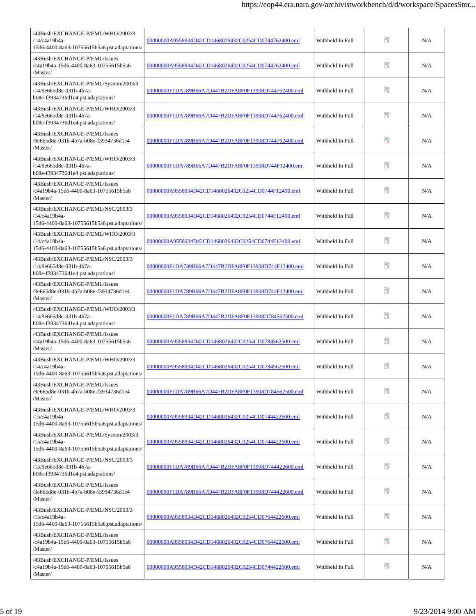| /43Bush/EXCHANGE-P/EML/WHO/2003/3<br>/14/c4a19b4a-<br>15d6-4400-8a63-10755615b5a6.pst.adaptations/                                  | 00000000A9558934D42CD1468026432C0254CD0744762400.eml | Withheld In Full | Ŧ  | N/A |
|-------------------------------------------------------------------------------------------------------------------------------------|------------------------------------------------------|------------------|----|-----|
| /43Bush/EXCHANGE-P/EML/Issues<br>/c4a19b4a-15d6-4400-8a63-10755615b5a6<br>/Master/                                                  | 00000000A9558934D42CD1468026432C0254CD0744762400.eml | Withheld In Full | Ŧ  | N/A |
| /43Bush/EXCHANGE-P/EML/System/2003/3<br>/14/9e665d8e-031b-4b7a-<br>b08e-f3934736d1e4.pst.adaptations/                               | 00000000F1DA789B66A7D447B2DFA8F0F13908D744762400.eml | Withheld In Full | Ŧ  | N/A |
| /43Bush/EXCHANGE-P/EML/WHO/2003/3<br>/14/9e665d8e-031b-4b7a-<br>b08e-f3934736d1e4.pst.adaptations/                                  | 00000000F1DA789B66A7D447B2DFA8F0F13908D744762400.eml | Withheld In Full | Ŧ  | N/A |
| /43Bush/EXCHANGE-P/EML/Issues<br>/9e665d8e-031b-4b7a-b08e-f3934736d1e4<br>/Master/                                                  | 00000000F1DA789B66A7D447B2DFA8F0F13908D744762400.eml | Withheld In Full | Ŧ  | N/A |
| /43Bush/EXCHANGE-P/EML/WHO/2003/3<br>/14/9e665d8e-031b-4b7a-<br>b08e-f3934736d1e4.pst.adaptations/                                  | 00000000F1DA789B66A7D447B2DFA8F0F13908D744F12400.eml | Withheld In Full | Ŧ  | N/A |
| /43Bush/EXCHANGE-P/EML/Issues<br>/c4a19b4a-15d6-4400-8a63-10755615b5a6<br>/Master/                                                  | 00000000A9558934D42CD1468026432C0254CD0744F12400.eml | Withheld In Full | Ŧ  | N/A |
| /43Bush/EXCHANGE-P/EML/NSC/2003/3<br>/14/c4a19b4a-<br>15d6-4400-8a63-10755615b5a6.pst.adaptations/                                  | 00000000A9558934D42CD1468026432C0254CD0744F12400.eml | Withheld In Full | 醋  | N/A |
| /43Bush/EXCHANGE-P/EML/WHO/2003/3<br>/14/c4a19b4a-<br>15d6-4400-8a63-10755615b5a6.pst.adaptations/                                  | 00000000A9558934D42CD1468026432C0254CD0744F12400.eml | Withheld In Full | 9  | N/A |
| /43Bush/EXCHANGE-P/EML/NSC/2003/3<br>/14/9e665d8e-031b-4b7a-<br>b08e-f3934736d1e4.pst.adaptations/                                  | 00000000F1DA789B66A7D447B2DFA8F0F13908D744F12400.eml | Withheld In Full | n  | N/A |
| /43Bush/EXCHANGE-P/EML/Issues<br>/9e665d8e-031b-4b7a-b08e-f3934736d1e4<br>/Master/                                                  | 00000000F1DA789B66A7D447B2DFA8F0F13908D744F12400.eml | Withheld In Full | ÷, | N/A |
| /43Bush/EXCHANGE-P/EML/WHO/2003/3<br>/14/9e665d8e-031b-4b7a-<br>b08e-f3934736d1e4.pst.adaptations/                                  | 00000000F1DA789B66A7D447B2DFA8F0F13908D784562500.eml | Withheld In Full | Ħ  | N/A |
| /43Bush/EXCHANGE-P/EML/Issues<br>/c4a19b4a-15d6-4400-8a63-10755615b5a6<br>/Master/                                                  | 00000000A9558934D42CD1468026432C0254CD0784562500.eml | Withheld In Full | n  | N/A |
| /43Bush/EXCHANGE-P/EML/WHO/2003/3<br>/14/c4a19b4a-<br>$15d6\mbox{-} 4400\mbox{-} 8a63\mbox{-} 10755615b5a6.\mbox{pst.adaptations/}$ | 00000000A9558934D42CD1468026432C0254CD0784562500.eml | Withheld In Full | B  | N/A |
| /43Bush/EXCHANGE-P/EML/Issues<br>/9e665d8e-031b-4b7a-b08e-f3934736d1e4<br>/Master/                                                  | 00000000F1DA789B66A7D447B2DFA8F0F13908D784562500.eml | Withheld In Full | 9  | N/A |
| /43Bush/EXCHANGE-P/EML/WHO/2003/3<br>/15/c4a19b4a-<br>15d6-4400-8a63-10755615b5a6.pst.adaptations/                                  | 00000000A9558934D42CD1468026432C0254CD0744422600.eml | Withheld In Full | 50 | N/A |
| /43Bush/EXCHANGE-P/EML/System/2003/3<br>/15/c4a19b4a-<br>15d6-4400-8a63-10755615b5a6.pst.adaptations/                               | 00000000A9558934D42CD1468026432C0254CD0744422600.eml | Withheld In Full | Ŧ  | N/A |
| /43Bush/EXCHANGE-P/EML/NSC/2003/3<br>/15/9e665d8e-031b-4b7a-<br>b08e-f3934736d1e4.pst.adaptations/                                  | 00000000F1DA789B66A7D447B2DFA8F0F13908D744422600.eml | Withheld In Full | 腊  | N/A |
| /43Bush/EXCHANGE-P/EML/Issues<br>/9e665d8e-031b-4b7a-b08e-f3934736d1e4<br>/Master/                                                  | 00000000F1DA789B66A7D447B2DFA8F0F13908D744422600.eml | Withheld In Full | 90 | N/A |
| /43Bush/EXCHANGE-P/EML/NSC/2003/3<br>/15/c4a19b4a-<br>15d6-4400-8a63-10755615b5a6.pst.adaptations/                                  | 0000000A9558934D42CD1468026432C0254CD0764422600.eml  | Withheld In Full | Đ  | N/A |
| /43Bush/EXCHANGE-P/EML/Issues<br>/c4a19b4a-15d6-4400-8a63-10755615b5a6<br>/Master/                                                  | 00000000A9558934D42CD1468026432C0254CD0764422600.eml | Withheld In Full | Ŧ  | N/A |
| /43Bush/EXCHANGE-P/EML/Issues<br>/c4a19b4a-15d6-4400-8a63-10755615b5a6<br>/Master/                                                  | 00000000A9558934D42CD1468026432C0254CD0744422600.eml | Withheld In Full | Ŧ  | N/A |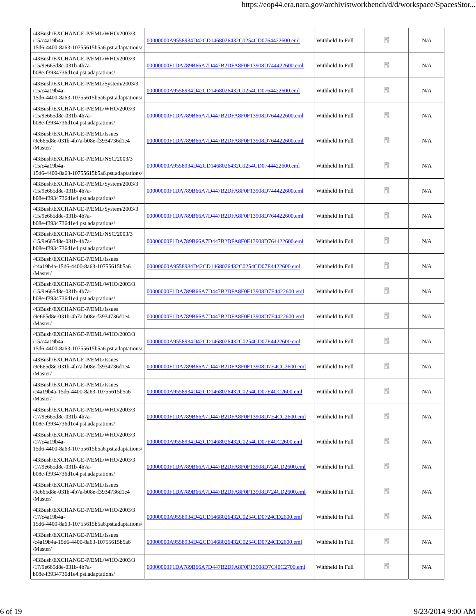| /43Bush/EXCHANGE-P/EML/WHO/2003/3<br>/15/c4a19b4a-<br>15d6-4400-8a63-10755615b5a6.pst.adaptations/    | 00000000A9558934D42CD1468026432C0254CD0764422600.eml | Withheld In Full | Ħ  | N/A |
|-------------------------------------------------------------------------------------------------------|------------------------------------------------------|------------------|----|-----|
| /43Bush/EXCHANGE-P/EML/WHO/2003/3<br>/15/9e665d8e-031b-4b7a-<br>b08e-f3934736d1e4.pst.adaptations/    | 00000000F1DA789B66A7D447B2DFA8F0F13908D744422600.eml | Withheld In Full | 50 | N/A |
| /43Bush/EXCHANGE-P/EML/System/2003/3<br>/15/c4a19b4a-<br>15d6-4400-8a63-10755615b5a6.pst.adaptations/ | 00000000A9558934D42CD1468026432C0254CD0764422600.eml | Withheld In Full | Ŧ  | N/A |
| /43Bush/EXCHANGE-P/EML/WHO/2003/3<br>/15/9e665d8e-031b-4b7a-<br>b08e-f3934736d1e4.pst.adaptations/    | 00000000F1DA789B66A7D447B2DFA8F0F13908D764422600.eml | Withheld In Full | 50 | N/A |
| /43Bush/EXCHANGE-P/EML/Issues<br>/9e665d8e-031b-4b7a-b08e-f3934736d1e4<br>/Master/                    | 00000000F1DA789B66A7D447B2DFA8F0F13908D764422600.eml | Withheld In Full | 90 | N/A |
| /43Bush/EXCHANGE-P/EML/NSC/2003/3<br>/15/c4a19b4a-<br>15d6-4400-8a63-10755615b5a6.pst.adaptations/    | 00000000A9558934D42CD1468026432C0254CD0744422600.eml | Withheld In Full | 90 | N/A |
| /43Bush/EXCHANGE-P/EML/System/2003/3<br>/15/9e665d8e-031b-4b7a-<br>b08e-f3934736d1e4.pst.adaptations/ | 00000000F1DA789B66A7D447B2DFA8F0F13908D744422600.eml | Withheld In Full | n  | N/A |
| /43Bush/EXCHANGE-P/EML/System/2003/3<br>/15/9e665d8e-031b-4b7a-<br>b08e-f3934736d1e4.pst.adaptations/ | 00000000F1DA789B66A7D447B2DFA8F0F13908D764422600.eml | Withheld In Full | n  | N/A |
| /43Bush/EXCHANGE-P/EML/NSC/2003/3<br>/15/9e665d8e-031b-4b7a-<br>b08e-f3934736d1e4.pst.adaptations/    | 00000000F1DA789B66A7D447B2DFA8F0F13908D764422600.eml | Withheld In Full | 90 | N/A |
| /43Bush/EXCHANGE-P/EML/Issues<br>/c4a19b4a-15d6-4400-8a63-10755615b5a6<br>/Master/                    | 00000000A9558934D42CD1468026432C0254CD07E4422600.eml | Withheld In Full | 醋  | N/A |
| /43Bush/EXCHANGE-P/EML/WHO/2003/3<br>/15/9e665d8e-031b-4b7a-<br>b08e-f3934736d1e4.pst.adaptations/    | 00000000F1DA789B66A7D447B2DFA8F0F13908D7E4422600.eml | Withheld In Full | ÷, | N/A |
| /43Bush/EXCHANGE-P/EML/Issues<br>/9e665d8e-031b-4b7a-b08e-f3934736d1e4<br>/Master/                    | 00000000F1DA789B66A7D447B2DFA8F0F13908D7E4422600.eml | Withheld In Full | 醋  | N/A |
| /43Bush/EXCHANGE-P/EML/WHO/2003/3<br>/15/c4a19b4a-<br>15d6-4400-8a63-10755615b5a6.pst.adaptations/    | 00000000A9558934D42CD1468026432C0254CD07E4422600.eml | Withheld In Full | Ŧ  | N/A |
| /43Bush/EXCHANGE-P/EML/Issues<br>/9e665d8e-031b-4b7a-b08e-f3934736d1e4<br>/Master/                    | 00000000F1DA789B66A7D447B2DFA8F0F13908D7E4CC2600.eml | Withheld In Full | B  | N/A |
| /43Bush/EXCHANGE-P/EML/Issues<br>/c4a19b4a-15d6-4400-8a63-10755615b5a6<br>/Master/                    | 00000000A9558934D42CD1468026432C0254CD07E4CC2600.eml | Withheld In Full | ÷. | N/A |
| /43Bush/EXCHANGE-P/EML/WHO/2003/3<br>/17/9e665d8e-031b-4b7a-<br>b08e-f3934736d1e4.pst.adaptations/    | 00000000F1DA789B66A7D447B2DFA8F0F13908D7E4CC2600.eml | Withheld In Full | 9  | N/A |
| /43Bush/EXCHANGE-P/EML/WHO/2003/3<br>/17/c4a19b4a-<br>15d6-4400-8a63-10755615b5a6.pst.adaptations/    | 00000000A9558934D42CD1468026432C0254CD07E4CC2600.eml | Withheld In Full | Ŧ  | N/A |
| /43Bush/EXCHANGE-P/EML/WHO/2003/3<br>/17/9e665d8e-031b-4b7a-<br>b08e-f3934736d1e4.pst.adaptations/    | 00000000F1DA789B66A7D447B2DFA8F0F13908D724CD2600.eml | Withheld In Full | n  | N/A |
| /43Bush/EXCHANGE-P/EML/Issues<br>/9e665d8e-031b-4b7a-b08e-f3934736d1e4<br>/Master/                    | 00000000F1DA789B66A7D447B2DFA8F0F13908D724CD2600.eml | Withheld In Full | 9  | N/A |
| /43Bush/EXCHANGE-P/EML/WHO/2003/3<br>/17/c4a19b4a-<br>15d6-4400-8a63-10755615b5a6.pst.adaptations/    | 00000000A9558934D42CD1468026432C0254CD0724CD2600.eml | Withheld In Full | Đ  | N/A |
| /43Bush/EXCHANGE-P/EML/Issues<br>/c4a19b4a-15d6-4400-8a63-10755615b5a6<br>/Master/                    | 00000000A9558934D42CD1468026432C0254CD0724CD2600.eml | Withheld In Full | n  | N/A |
| /43Bush/EXCHANGE-P/EML/WHO/2003/3<br>/17/9e665d8e-031b-4b7a-<br>b08e-f3934736d1e4.pst.adaptations/    | 00000000F1DA789B66A7D447B2DFA8F0F13908D7C40C2700.eml | Withheld In Full | 50 | N/A |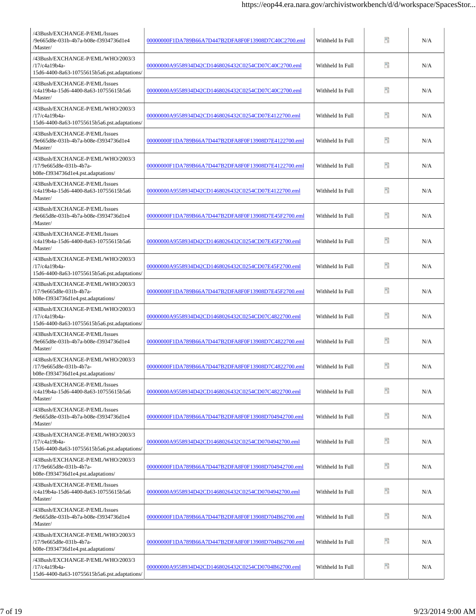| /43Bush/EXCHANGE-P/EML/Issues<br>/9e665d8e-031b-4b7a-b08e-f3934736d1e4<br>/Master/                 | 00000000F1DA789B66A7D447B2DFA8F0F13908D7C40C2700.eml | Withheld In Full | Đ  | N/A |
|----------------------------------------------------------------------------------------------------|------------------------------------------------------|------------------|----|-----|
| /43Bush/EXCHANGE-P/EML/WHO/2003/3<br>/17/c4a19b4a-<br>15d6-4400-8a63-10755615b5a6.pst.adaptations/ | 00000000A9558934D42CD1468026432C0254CD07C40C2700.eml | Withheld In Full | Ŧ  | N/A |
| /43Bush/EXCHANGE-P/EML/Issues<br>/c4a19b4a-15d6-4400-8a63-10755615b5a6<br>/Master/                 | 00000000A9558934D42CD1468026432C0254CD07C40C2700.eml | Withheld In Full | Ŧ  | N/A |
| /43Bush/EXCHANGE-P/EML/WHO/2003/3<br>/17/c4a19b4a-<br>15d6-4400-8a63-10755615b5a6.pst.adaptations/ | 00000000A9558934D42CD1468026432C0254CD07E4122700.eml | Withheld In Full | 昵  | N/A |
| /43Bush/EXCHANGE-P/EML/Issues<br>/9e665d8e-031b-4b7a-b08e-f3934736d1e4<br>/Master/                 | 00000000F1DA789B66A7D447B2DFA8F0F13908D7E4122700.eml | Withheld In Full | Ŧ  | N/A |
| /43Bush/EXCHANGE-P/EML/WHO/2003/3<br>/17/9e665d8e-031b-4b7a-<br>b08e-f3934736d1e4.pst.adaptations/ | 00000000F1DA789B66A7D447B2DFA8F0F13908D7E4122700.eml | Withheld In Full | Ŧ  | N/A |
| /43Bush/EXCHANGE-P/EML/Issues<br>/c4a19b4a-15d6-4400-8a63-10755615b5a6<br>/Master/                 | 00000000A9558934D42CD1468026432C0254CD07E4122700.eml | Withheld In Full | Ŧ  | N/A |
| /43Bush/EXCHANGE-P/EML/Issues<br>9e665d8e-031b-4b7a-b08e-f3934736d1e4<br>/Master/                  | 00000000F1DA789B66A7D447B2DFA8F0F13908D7E45F2700.eml | Withheld In Full | Ŧ  | N/A |
| /43Bush/EXCHANGE-P/EML/Issues<br>/c4a19b4a-15d6-4400-8a63-10755615b5a6<br>/Master/                 | 00000000A9558934D42CD1468026432C0254CD07E45F2700.eml | Withheld In Full | 90 | N/A |
| /43Bush/EXCHANGE-P/EML/WHO/2003/3<br>/17/c4a19b4a-<br>15d6-4400-8a63-10755615b5a6.pst.adaptations/ | 00000000A9558934D42CD1468026432C0254CD07E45F2700.eml | Withheld In Full | n  | N/A |
| /43Bush/EXCHANGE-P/EML/WHO/2003/3<br>/17/9e665d8e-031b-4b7a-<br>b08e-f3934736d1e4.pst.adaptations/ | 00000000F1DA789B66A7D447B2DFA8F0F13908D7E45F2700.eml | Withheld In Full | n  | N/A |
| /43Bush/EXCHANGE-P/EML/WHO/2003/3<br>/17/c4a19b4a-<br>15d6-4400-8a63-10755615b5a6.pst.adaptations/ | 00000000A9558934D42CD1468026432C0254CD07C4822700.eml | Withheld In Full | Ŧ  | N/A |
| /43Bush/EXCHANGE-P/EML/Issues<br>/9e665d8e-031b-4b7a-b08e-f3934736d1e4<br>/Master/                 | 00000000F1DA789B66A7D447B2DFA8F0F13908D7C4822700.eml | Withheld In Full | н  | N/A |
| /43Bush/EXCHANGE-P/EML/WHO/2003/3<br>/17/9e665d8e-031b-4b7a-<br>b08e-f3934736d1e4.pst.adaptations/ | 00000000F1DA789B66A7D447B2DFA8F0F13908D7C4822700.eml | Withheld In Full | ÷. | N/A |
| /43Bush/EXCHANGE-P/EML/Issues<br>/c4a19b4a-15d6-4400-8a63-10755615b5a6<br>/Master/                 | 00000000A9558934D42CD1468026432C0254CD07C4822700.eml | Withheld In Full | Ŧ  | N/A |
| /43Bush/EXCHANGE-P/EML/Issues<br>/9e665d8e-031b-4b7a-b08e-f3934736d1e4<br>/Master/                 | 00000000F1DA789B66A7D447B2DFA8F0F13908D704942700.eml | Withheld In Full | 90 | N/A |
| /43Bush/EXCHANGE-P/EML/WHO/2003/3<br>/17/c4a19b4a-<br>15d6-4400-8a63-10755615b5a6.pst.adaptations/ | 00000000A9558934D42CD1468026432C0254CD0704942700.eml | Withheld In Full | Ŧ  | N/A |
| /43Bush/EXCHANGE-P/EML/WHO/2003/3<br>/17/9e665d8e-031b-4b7a-<br>b08e-f3934736d1e4.pst.adaptations/ | 00000000F1DA789B66A7D447B2DFA8F0F13908D704942700.eml | Withheld In Full | Đ  | N/A |
| /43Bush/EXCHANGE-P/EML/Issues<br>/c4a19b4a-15d6-4400-8a63-10755615b5a6<br>/Master/                 | 00000000A9558934D42CD1468026432C0254CD0704942700.eml | Withheld In Full | 9  | N/A |
| /43Bush/EXCHANGE-P/EML/Issues<br>/9e665d8e-031b-4b7a-b08e-f3934736d1e4<br>/Master/                 | 00000000F1DA789B66A7D447B2DFA8F0F13908D704B62700.eml | Withheld In Full | 50 | N/A |
| /43Bush/EXCHANGE-P/EML/WHO/2003/3<br>/17/9e665d8e-031b-4b7a-<br>b08e-f3934736d1e4.pst.adaptations/ | 00000000F1DA789B66A7D447B2DFA8F0F13908D704B62700.eml | Withheld In Full | Đ  | N/A |
| /43Bush/EXCHANGE-P/EML/WHO/2003/3<br>/17/c4a19b4a-<br>15d6-4400-8a63-10755615b5a6.pst.adaptations/ | 00000000A9558934D42CD1468026432C0254CD0704B62700.eml | Withheld In Full | 9  | N/A |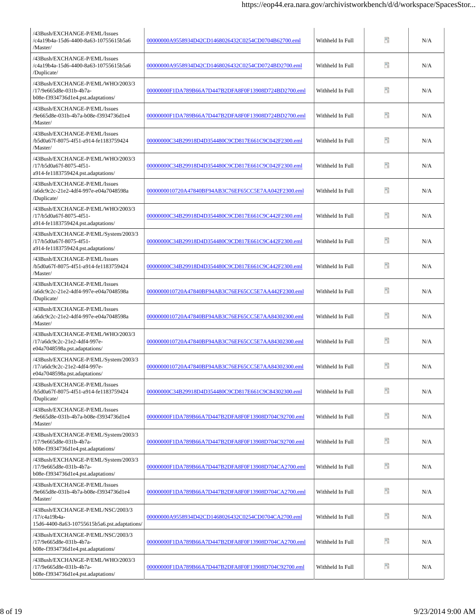| /43Bush/EXCHANGE-P/EML/Issues<br>/c4a19b4a-15d6-4400-8a63-10755615b5a6<br>/Master/                       | 00000000A9558934D42CD1468026432C0254CD0704B62700.eml | Withheld In Full | Ħ  | N/A |
|----------------------------------------------------------------------------------------------------------|------------------------------------------------------|------------------|----|-----|
| /43Bush/EXCHANGE-P/EML/Issues<br>/c4a19b4a-15d6-4400-8a63-10755615b5a6<br>/Duplicate/                    | 00000000A9558934D42CD1468026432C0254CD0724BD2700.eml | Withheld In Full | n  | N/A |
| /43Bush/EXCHANGE-P/EML/WHO/2003/3<br>/17/9e665d8e-031b-4b7a-<br>b08e-f3934736d1e4.pst.adaptations/       | 00000000F1DA789B66A7D447B2DFA8F0F13908D724BD2700.eml | Withheld In Full | 90 | N/A |
| /43Bush/EXCHANGE-P/EML/Issues<br>9e665d8e-031b-4b7a-b08e-f3934736d1e4<br>/Master/                        | 00000000F1DA789B66A7D447B2DFA8F0F13908D724BD2700.eml | Withheld In Full | 90 | N/A |
| /43Bush/EXCHANGE-P/EML/Issues<br>b5d0a67f-8075-4f51-a914-fe1183759424/<br>/Master/                       | 00000000C34B29918D4D354480C9CD817E661C9C042F2300.eml | Withheld In Full | 90 | N/A |
| /43Bush/EXCHANGE-P/EML/WHO/2003/3<br>/17/b5d0a67f-8075-4f51-<br>a914-fe1183759424.pst.adaptations/       | 00000000C34B29918D4D354480C9CD817E661C9C042F2300.eml | Withheld In Full | n  | N/A |
| /43Bush/EXCHANGE-P/EML/Issues<br>/a6dc9c2c-21e2-4df4-997e-e04a7048598a<br>/Duplicate/                    | 0000000010720A47840BF94AB3C76EF65CC5E7AA042F2300.eml | Withheld In Full | n  | N/A |
| /43Bush/EXCHANGE-P/EML/WHO/2003/3<br>/17/b5d0a67f-8075-4f51-<br>a914-fe1183759424.pst.adaptations/       | 00000000C34B29918D4D354480C9CD817E661C9C442F2300.eml | Withheld In Full | 醋  | N/A |
| /43Bush/EXCHANGE-P/EML/System/2003/3<br>/17/b5d0a67f-8075-4f51-<br>a914-fe1183759424.pst.adaptations/    | 00000000C34B29918D4D354480C9CD817E661C9C442F2300.eml | Withheld In Full | n  | N/A |
| /43Bush/EXCHANGE-P/EML/Issues<br>/b5d0a67f-8075-4f51-a914-fe1183759424<br>/Master/                       | 00000000C34B29918D4D354480C9CD817E661C9C442F2300.eml | Withheld In Full | B  | N/A |
| /43Bush/EXCHANGE-P/EML/Issues<br>/a6dc9c2c-21e2-4df4-997e-e04a7048598a<br>/Duplicate/                    | 0000000010720A47840BF94AB3C76EF65CC5E7AA442F2300.eml | Withheld In Full | 醋  | N/A |
| /43Bush/EXCHANGE-P/EML/Issues<br>/a6dc9c2c-21e2-4df4-997e-e04a7048598a<br>/Master/                       | 0000000010720A47840BF94AB3C76EF65CC5E7AA84302300.eml | Withheld In Full | 醋  | N/A |
| /43Bush/EXCHANGE-P/EML/WHO/2003/3<br>/17/a6dc9c2c-21e2-4df4-997e-<br>e04a7048598a.pst.adaptations/       | 0000000010720A47840BF94AB3C76EF65CC5E7AA84302300.eml | Withheld In Full | n  | N/A |
| /43Bush/EXCHANGE-P/EML/System/2003/3<br>/17/a6dc9c2c-21e2-4df4-997e-<br>$e04a7048598a.pst. adaptations/$ | 0000000010720A47840BF94AB3C76EF65CC5E7AA84302300.eml | Withheld In Full | B  | N/A |
| /43Bush/EXCHANGE-P/EML/Issues<br>/b5d0a67f-8075-4f51-a914-fe1183759424<br>/Duplicate/                    | 00000000C34B29918D4D354480C9CD817E661C9C84302300.eml | Withheld In Full | ÷. | N/A |
| /43Bush/EXCHANGE-P/EML/Issues<br>9e665d8e-031b-4b7a-b08e-f3934736d1e4<br>/Master/                        | 00000000F1DA789B66A7D447B2DFA8F0F13908D704C92700.eml | Withheld In Full | 50 | N/A |
| /43Bush/EXCHANGE-P/EML/System/2003/3<br>/17/9e665d8e-031b-4b7a-<br>b08e-f3934736d1e4.pst.adaptations/    | 00000000F1DA789B66A7D447B2DFA8F0F13908D704C92700.eml | Withheld In Full | 50 | N/A |
| /43Bush/EXCHANGE-P/EML/System/2003/3<br>/17/9e665d8e-031b-4b7a-<br>b08e-f3934736d1e4.pst.adaptations/    | 00000000F1DA789B66A7D447B2DFA8F0F13908D704CA2700.eml | Withheld In Full | n  | N/A |
| /43Bush/EXCHANGE-P/EML/Issues<br>9e665d8e-031b-4b7a-b08e-f3934736d1e4<br>/Master/                        | 00000000F1DA789B66A7D447B2DFA8F0F13908D704CA2700.eml | Withheld In Full | Đ  | N/A |
| /43Bush/EXCHANGE-P/EML/NSC/2003/3<br>/17/c4a19b4a-<br>15d6-4400-8a63-10755615b5a6.pst.adaptations/       | 00000000A9558934D42CD1468026432C0254CD0704CA2700.eml | Withheld In Full | Đ  | N/A |
| /43Bush/EXCHANGE-P/EML/NSC/2003/3<br>/17/9e665d8e-031b-4b7a-<br>b08e-f3934736d1e4.pst.adaptations/       | 00000000F1DA789B66A7D447B2DFA8F0F13908D704CA2700.eml | Withheld In Full | n  | N/A |
| /43Bush/EXCHANGE-P/EML/WHO/2003/3<br>/17/9e665d8e-031b-4b7a-<br>b08e-f3934736d1e4.pst.adaptations/       | 00000000F1DA789B66A7D447B2DFA8F0F13908D704C92700.eml | Withheld In Full | Ŧ  | N/A |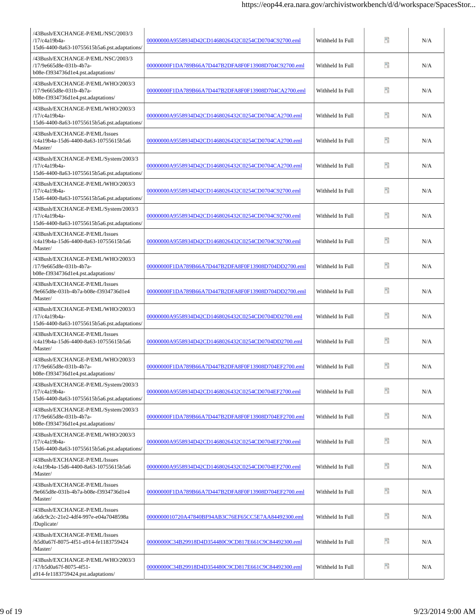| /43Bush/EXCHANGE-P/EML/NSC/2003/3<br>/17/c4a19b4a-<br>15d6-4400-8a63-10755615b5a6.pst.adaptations/    | 00000000A9558934D42CD1468026432C0254CD0704C92700.eml | Withheld In Full | Ħ  | N/A |
|-------------------------------------------------------------------------------------------------------|------------------------------------------------------|------------------|----|-----|
| /43Bush/EXCHANGE-P/EML/NSC/2003/3<br>/17/9e665d8e-031b-4b7a-<br>b08e-f3934736d1e4.pst.adaptations/    | 00000000F1DA789B66A7D447B2DFA8F0F13908D704C92700.eml | Withheld In Full | Ŧ  | N/A |
| /43Bush/EXCHANGE-P/EML/WHO/2003/3<br>/17/9e665d8e-031b-4b7a-<br>b08e-f3934736d1e4.pst.adaptations/    | 00000000F1DA789B66A7D447B2DFA8F0F13908D704CA2700.eml | Withheld In Full | Ŧ  | N/A |
| /43Bush/EXCHANGE-P/EML/WHO/2003/3<br>/17/c4a19b4a-<br>15d6-4400-8a63-10755615b5a6.pst.adaptations/    | 00000000A9558934D42CD1468026432C0254CD0704CA2700.eml | Withheld In Full | Ŧ  | N/A |
| /43Bush/EXCHANGE-P/EML/Issues<br>/c4a19b4a-15d6-4400-8a63-10755615b5a6<br>/Master/                    | 00000000A9558934D42CD1468026432C0254CD0704CA2700.eml | Withheld In Full | Ŧ  | N/A |
| /43Bush/EXCHANGE-P/EML/System/2003/3<br>/17/c4a19b4a-<br>15d6-4400-8a63-10755615b5a6.pst.adaptations/ | 00000000A9558934D42CD1468026432C0254CD0704CA2700.eml | Withheld In Full | Ŧ  | N/A |
| /43Bush/EXCHANGE-P/EML/WHO/2003/3<br>/17/c4a19b4a-<br>15d6-4400-8a63-10755615b5a6.pst.adaptations/    | 00000000A9558934D42CD1468026432C0254CD0704C92700.eml | Withheld In Full | Ŧ  | N/A |
| /43Bush/EXCHANGE-P/EML/System/2003/3<br>/17/c4a19b4a-<br>15d6-4400-8a63-10755615b5a6.pst.adaptations/ | 00000000A9558934D42CD1468026432C0254CD0704C92700.eml | Withheld In Full | n  | N/A |
| /43Bush/EXCHANGE-P/EML/Issues<br>/c4a19b4a-15d6-4400-8a63-10755615b5a6<br>/Master/                    | 00000000A9558934D42CD1468026432C0254CD0704C92700.eml | Withheld In Full | Ŧ  | N/A |
| /43Bush/EXCHANGE-P/EML/WHO/2003/3<br>/17/9e665d8e-031b-4b7a-<br>b08e-f3934736d1e4.pst.adaptations/    | 00000000F1DA789B66A7D447B2DFA8F0F13908D704DD2700.eml | Withheld In Full | n  | N/A |
| /43Bush/EXCHANGE-P/EML/Issues<br>/9e665d8e-031b-4b7a-b08e-f3934736d1e4<br>/Master/                    | 00000000F1DA789B66A7D447B2DFA8F0F13908D704DD2700.eml | Withheld In Full | n  | N/A |
| /43Bush/EXCHANGE-P/EML/WHO/2003/3<br>/17/c4a19b4a-<br>15d6-4400-8a63-10755615b5a6.pst.adaptations/    | 00000000A9558934D42CD1468026432C0254CD0704DD2700.eml | Withheld In Full | n  | N/A |
| /43Bush/EXCHANGE-P/EML/Issues<br>/c4a19b4a-15d6-4400-8a63-10755615b5a6<br>/Master/                    | 00000000A9558934D42CD1468026432C0254CD0704DD2700.eml | Withheld In Full | Ħ  | N/A |
| /43Bush/EXCHANGE-P/EML/WHO/2003/3<br>/17/9e665d8e-031b-4b7a-<br>b08e-f3934736d1e4.pst.adaptations/    | 00000000F1DA789B66A7D447B2DFA8F0F13908D704EF2700.eml | Withheld In Full | m  | N/A |
| /43Bush/EXCHANGE-P/EML/System/2003/3<br>/17/c4a19b4a-<br>15d6-4400-8a63-10755615b5a6.pst.adaptations/ | 00000000A9558934D42CD1468026432C0254CD0704EF2700.eml | Withheld In Full | 9  | N/A |
| /43Bush/EXCHANGE-P/EML/System/2003/3<br>/17/9e665d8e-031b-4b7a-<br>b08e-f3934736d1e4.pst.adaptations/ | 00000000F1DA789B66A7D447B2DFA8F0F13908D704EF2700.eml | Withheld In Full | ÷. | N/A |
| /43Bush/EXCHANGE-P/EML/WHO/2003/3<br>/17/c4a19b4a-<br>15d6-4400-8a63-10755615b5a6.pst.adaptations/    | 00000000A9558934D42CD1468026432C0254CD0704EF2700.eml | Withheld In Full | Ŧ  | N/A |
| /43Bush/EXCHANGE-P/EML/Issues<br>/c4a19b4a-15d6-4400-8a63-10755615b5a6<br>/Master/                    | 00000000A9558934D42CD1468026432C0254CD0704EF2700.eml | Withheld In Full | Đ  | N/A |
| /43Bush/EXCHANGE-P/EML/Issues<br>/9e665d8e-031b-4b7a-b08e-f3934736d1e4<br>/Master/                    | 00000000F1DA789B66A7D447B2DFA8F0F13908D704EF2700.eml | Withheld In Full | 9  | N/A |
| /43Bush/EXCHANGE-P/EML/Issues<br>/a6dc9c2c-21e2-4df4-997e-e04a7048598a<br>/Duplicate/                 | 0000000010720A47840BF94AB3C76EF65CC5E7AA84492300.eml | Withheld In Full | Ŧ  | N/A |
| /43Bush/EXCHANGE-P/EML/Issues<br>/b5d0a67f-8075-4f51-a914-fe1183759424<br>/Master/                    | 00000000C34B29918D4D354480C9CD817E661C9C84492300.eml | Withheld In Full | n  | N/A |
| /43Bush/EXCHANGE-P/EML/WHO/2003/3<br>/17/b5d0a67f-8075-4f51-<br>a914-fe1183759424.pst.adaptations/    | 00000000C34B29918D4D354480C9CD817E661C9C84492300.eml | Withheld In Full | Ŧ  | N/A |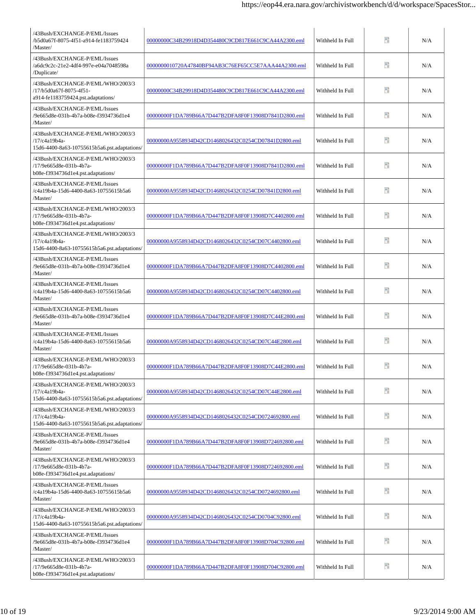| /43Bush/EXCHANGE-P/EML/Issues<br>/b5d0a67f-8075-4f51-a914-fe1183759424<br>/Master/                 | 00000000C34B29918D4D354480C9CD817E661C9CA44A2300.eml | Withheld In Full | Ŧ  | N/A |
|----------------------------------------------------------------------------------------------------|------------------------------------------------------|------------------|----|-----|
| /43Bush/EXCHANGE-P/EML/Issues<br>/a6dc9c2c-21e2-4df4-997e-e04a7048598a<br>/Duplicate/              | 0000000010720A47840BF94AB3C76EF65CC5E7AAA44A2300.eml | Withheld In Full | Ŧ  | N/A |
| /43Bush/EXCHANGE-P/EML/WHO/2003/3<br>/17/b5d0a67f-8075-4f51-<br>a914-fe1183759424.pst.adaptations/ | 00000000C34B29918D4D354480C9CD817E661C9CA44A2300.eml | Withheld In Full | Ŧ  | N/A |
| /43Bush/EXCHANGE-P/EML/Issues<br>9e665d8e-031b-4b7a-b08e-f3934736d1e4<br>/Master/                  | 00000000F1DA789B66A7D447B2DFA8F0F13908D7841D2800.eml | Withheld In Full | 昵  | N/A |
| /43Bush/EXCHANGE-P/EML/WHO/2003/3<br>/17/c4a19b4a-<br>15d6-4400-8a63-10755615b5a6.pst.adaptations/ | 00000000A9558934D42CD1468026432C0254CD07841D2800.eml | Withheld In Full | Ŧ  | N/A |
| /43Bush/EXCHANGE-P/EML/WHO/2003/3<br>/17/9e665d8e-031b-4b7a-<br>b08e-f3934736d1e4.pst.adaptations/ | 00000000F1DA789B66A7D447B2DFA8F0F13908D7841D2800.eml | Withheld In Full | Ŧ  | N/A |
| /43Bush/EXCHANGE-P/EML/Issues<br>/c4a19b4a-15d6-4400-8a63-10755615b5a6<br>/Master/                 | 00000000A9558934D42CD1468026432C0254CD07841D2800.eml | Withheld In Full | 昵  | N/A |
| /43Bush/EXCHANGE-P/EML/WHO/2003/3<br>/17/9e665d8e-031b-4b7a-<br>b08e-f3934736d1e4.pst.adaptations/ | 00000000F1DA789B66A7D447B2DFA8F0F13908D7C4402800.eml | Withheld In Full | n  | N/A |
| /43Bush/EXCHANGE-P/EML/WHO/2003/3<br>/17/c4a19b4a-<br>15d6-4400-8a63-10755615b5a6.pst.adaptations/ | 00000000A9558934D42CD1468026432C0254CD07C4402800.eml | Withheld In Full | Đ  | N/A |
| /43Bush/EXCHANGE-P/EML/Issues<br>/9e665d8e-031b-4b7a-b08e-f3934736d1e4<br>/Master/                 | 00000000F1DA789B66A7D447B2DFA8F0F13908D7C4402800.eml | Withheld In Full | n  | N/A |
| /43Bush/EXCHANGE-P/EML/Issues<br>/c4a19b4a-15d6-4400-8a63-10755615b5a6<br>/Master/                 | 00000000A9558934D42CD1468026432C0254CD07C4402800.eml | Withheld In Full | 醋  | N/A |
| /43Bush/EXCHANGE-P/EML/Issues<br>/9e665d8e-031b-4b7a-b08e-f3934736d1e4<br>/Master/                 | 00000000F1DA789B66A7D447B2DFA8F0F13908D7C44E2800.eml | Withheld In Full | P) | N/A |
| /43Bush/EXCHANGE-P/EML/Issues<br>/c4a19b4a-15d6-4400-8a63-10755615b5a6<br>/Master/                 | 00000000A9558934D42CD1468026432C0254CD07C44E2800.eml | Withheld In Full | Ħ  | N/A |
| /43Bush/EXCHANGE-P/EML/WHO/2003/3<br>/17/9e665d8e-031b-4b7a-<br>b08e-f3934736d1e4.pst.adaptations/ | 00000000F1DA789B66A7D447B2DFA8F0F13908D7C44E2800.eml | Withheld In Full | ÷. | N/A |
| /43Bush/EXCHANGE-P/EML/WHO/2003/3<br>/17/c4a19b4a-<br>15d6-4400-8a63-10755615b5a6.pst.adaptations/ | 00000000A9558934D42CD1468026432C0254CD07C44E2800.eml | Withheld In Full | 9  | N/A |
| /43Bush/EXCHANGE-P/EML/WHO/2003/3<br>/17/c4a19b4a-<br>15d6-4400-8a63-10755615b5a6.pst.adaptations/ | 00000000A9558934D42CD1468026432C0254CD0724692800.eml | Withheld In Full | 90 | N/A |
| 43Bush/EXCHANGE-P/EML/Issues<br>/9e665d8e-031b-4b7a-b08e-f3934736d1e4<br>/Master/                  | 00000000F1DA789B66A7D447B2DFA8F0F13908D724692800.eml | Withheld In Full | Ŧ. | N/A |
| /43Bush/EXCHANGE-P/EML/WHO/2003/3<br>/17/9e665d8e-031b-4b7a-<br>b08e-f3934736d1e4.pst.adaptations/ | 00000000F1DA789B66A7D447B2DFA8F0F13908D724692800.eml | Withheld In Full | Đ  | N/A |
| /43Bush/EXCHANGE-P/EML/Issues<br>/c4a19b4a-15d6-4400-8a63-10755615b5a6<br>/Master/                 | 00000000A9558934D42CD1468026432C0254CD0724692800.eml | Withheld In Full | 9  | N/A |
| /43Bush/EXCHANGE-P/EML/WHO/2003/3<br>/17/c4a19b4a-<br>15d6-4400-8a63-10755615b5a6.pst.adaptations/ | 00000000A9558934D42CD1468026432C0254CD0704C92800.eml | Withheld In Full | 昵  | N/A |
| /43Bush/EXCHANGE-P/EML/Issues<br>/9e665d8e-031b-4b7a-b08e-f3934736d1e4<br>/Master/                 | 00000000F1DA789B66A7D447B2DFA8F0F13908D704C92800.eml | Withheld In Full | 昵  | N/A |
| /43Bush/EXCHANGE-P/EML/WHO/2003/3<br>/17/9e665d8e-031b-4b7a-<br>b08e-f3934736d1e4.pst.adaptations/ | 00000000F1DA789B66A7D447B2DFA8F0F13908D704C92800.eml | Withheld In Full | Ŧ  | N/A |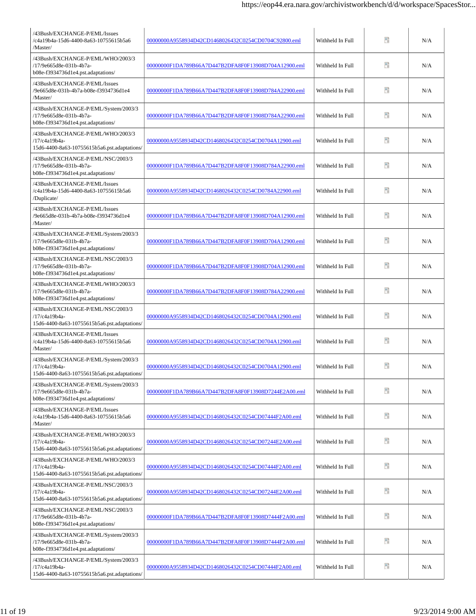| /43Bush/EXCHANGE-P/EML/Issues<br>/c4a19b4a-15d6-4400-8a63-10755615b5a6<br>/Master/                    | 00000000A9558934D42CD1468026432C0254CD0704C92800.eml | Withheld In Full | ÷.  | N/A |
|-------------------------------------------------------------------------------------------------------|------------------------------------------------------|------------------|-----|-----|
| /43Bush/EXCHANGE-P/EML/WHO/2003/3<br>/17/9e665d8e-031b-4b7a-<br>b08e-f3934736d1e4.pst.adaptations/    | 00000000F1DA789B66A7D447B2DFA8F0F13908D704A12900.eml | Withheld In Full | 90  | N/A |
| /43Bush/EXCHANGE-P/EML/Issues<br>/9e665d8e-031b-4b7a-b08e-f3934736d1e4<br>/Master/                    | 00000000F1DA789B66A7D447B2DFA8F0F13908D784A22900.eml | Withheld In Full | н   | N/A |
| /43Bush/EXCHANGE-P/EML/System/2003/3<br>/17/9e665d8e-031b-4b7a-<br>b08e-f3934736d1e4.pst.adaptations/ | 00000000F1DA789B66A7D447B2DFA8F0F13908D784A22900.eml | Withheld In Full | н   | N/A |
| /43Bush/EXCHANGE-P/EML/WHO/2003/3<br>/17/c4a19b4a-<br>15d6-4400-8a63-10755615b5a6.pst.adaptations/    | 00000000A9558934D42CD1468026432C0254CD0704A12900.eml | Withheld In Full | 90  | N/A |
| /43Bush/EXCHANGE-P/EML/NSC/2003/3<br>/17/9e665d8e-031b-4b7a-<br>b08e-f3934736d1e4.pst.adaptations/    | 00000000F1DA789B66A7D447B2DFA8F0F13908D784A22900.eml | Withheld In Full | Ŧ.  | N/A |
| /43Bush/EXCHANGE-P/EML/Issues<br>/c4a19b4a-15d6-4400-8a63-10755615b5a6<br>/Duplicate/                 | 00000000A9558934D42CD1468026432C0254CD0784A22900.eml | Withheld In Full | 暗   | N/A |
| /43Bush/EXCHANGE-P/EML/Issues<br>/9e665d8e-031b-4b7a-b08e-f3934736d1e4<br>/Master/                    | 00000000F1DA789B66A7D447B2DFA8F0F13908D704A12900.eml | Withheld In Full | m   | N/A |
| /43Bush/EXCHANGE-P/EML/System/2003/3<br>/17/9e665d8e-031b-4b7a-<br>b08e-f3934736d1e4.pst.adaptations/ | 00000000F1DA789B66A7D447B2DFA8F0F13908D704A12900.eml | Withheld In Full | Ŧ   | N/A |
| /43Bush/EXCHANGE-P/EML/NSC/2003/3<br>/17/9e665d8e-031b-4b7a-<br>b08e-f3934736d1e4.pst.adaptations/    | 00000000F1DA789B66A7D447B2DFA8F0F13908D704A12900.eml | Withheld In Full | PD. | N/A |
| /43Bush/EXCHANGE-P/EML/WHO/2003/3<br>/17/9e665d8e-031b-4b7a-<br>b08e-f3934736d1e4.pst.adaptations/    | 00000000F1DA789B66A7D447B2DFA8F0F13908D784A22900.eml | Withheld In Full | m   | N/A |
| /43Bush/EXCHANGE-P/EML/NSC/2003/3<br>/17/c4a19b4a-<br>15d6-4400-8a63-10755615b5a6.pst.adaptations/    | 00000000A9558934D42CD1468026432C0254CD0704A12900.eml | Withheld In Full | PD. | N/A |
| /43Bush/EXCHANGE-P/EML/Issues<br>/c4a19b4a-15d6-4400-8a63-10755615b5a6<br>/Master/                    | 00000000A9558934D42CD1468026432C0254CD0704A12900.eml | Withheld In Full | PD. | N/A |
| /43Bush/EXCHANGE-P/EML/System/2003/3<br>/17/c4a19b4a-<br>15d6-4400-8a63-10755615b5a6.pst.adaptations/ | 00000000A9558934D42CD1468026432C0254CD0704A12900.eml | Withheld In Full | ÷.  | N/A |
| /43Bush/EXCHANGE-P/EML/System/2003/3<br>/17/9e665d8e-031b-4b7a-<br>b08e-f3934736d1e4.pst.adaptations/ | 00000000F1DA789B66A7D447B2DFA8F0F13908D7244E2A00.eml | Withheld In Full | ÷.  | N/A |
| /43Bush/EXCHANGE-P/EML/Issues<br>/c4a19b4a-15d6-4400-8a63-10755615b5a6<br>/Master/                    | 00000000A9558934D42CD1468026432C0254CD07444F2A00.eml | Withheld In Full | 90  | N/A |
| /43Bush/EXCHANGE-P/EML/WHO/2003/3<br>/17/c4a19b4a-<br>15d6-4400-8a63-10755615b5a6.pst.adaptations/    | 00000000A9558934D42CD1468026432C0254CD07244E2A00.eml | Withheld In Full | Ŧ   | N/A |
| /43Bush/EXCHANGE-P/EML/WHO/2003/3<br>/17/c4a19b4a-<br>15d6-4400-8a63-10755615b5a6.pst.adaptations/    | 00000000A9558934D42CD1468026432C0254CD07444F2A00.eml | Withheld In Full | 90  | N/A |
| /43Bush/EXCHANGE-P/EML/NSC/2003/3<br>/17/c4a19b4a-<br>15d6-4400-8a63-10755615b5a6.pst.adaptations/    | 00000000A9558934D42CD1468026432C0254CD07244E2A00.eml | Withheld In Full | 90  | N/A |
| /43Bush/EXCHANGE-P/EML/NSC/2003/3<br>/17/9e665d8e-031b-4b7a-<br>b08e-f3934736d1e4.pst.adaptations/    | 00000000F1DA789B66A7D447B2DFA8F0F13908D7444F2A00.eml | Withheld In Full | Ŧ   | N/A |
| /43Bush/EXCHANGE-P/EML/System/2003/3<br>/17/9e665d8e-031b-4b7a-<br>b08e-f3934736d1e4.pst.adaptations/ | 00000000F1DA789B66A7D447B2DFA8F0F13908D7444F2A00.eml | Withheld In Full | н   | N/A |
| /43Bush/EXCHANGE-P/EML/System/2003/3<br>/17/c4a19b4a-<br>15d6-4400-8a63-10755615b5a6.pst.adaptations/ | 00000000A9558934D42CD1468026432C0254CD07444F2A00.eml | Withheld In Full | Ŧ   | N/A |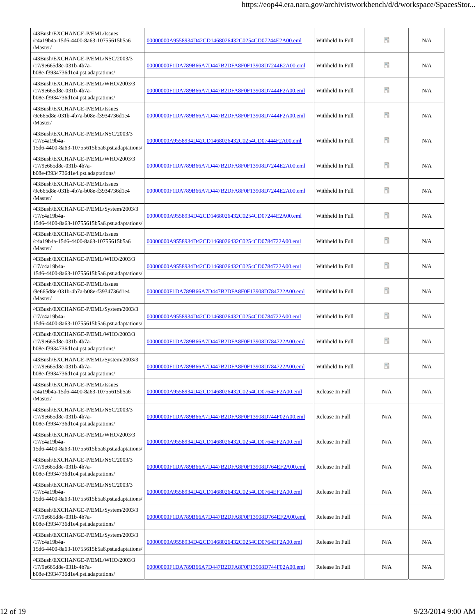| /43Bush/EXCHANGE-P/EML/Issues<br>/c4a19b4a-15d6-4400-8a63-10755615b5a6<br>/Master/                    | 00000000A9558934D42CD1468026432C0254CD07244E2A00.eml | Withheld In Full | Ħ   | N/A |
|-------------------------------------------------------------------------------------------------------|------------------------------------------------------|------------------|-----|-----|
| /43Bush/EXCHANGE-P/EML/NSC/2003/3<br>/17/9e665d8e-031b-4b7a-<br>b08e-f3934736d1e4.pst.adaptations/    | 00000000F1DA789B66A7D447B2DFA8F0F13908D7244E2A00.eml | Withheld In Full | 50  | N/A |
| /43Bush/EXCHANGE-P/EML/WHO/2003/3<br>/17/9e665d8e-031b-4b7a-<br>b08e-f3934736d1e4.pst.adaptations/    | 00000000F1DA789B66A7D447B2DFA8F0F13908D7444F2A00.eml | Withheld In Full | 90  | N/A |
| /43Bush/EXCHANGE-P/EML/Issues<br>/9e665d8e-031b-4b7a-b08e-f3934736d1e4<br>/Master/                    | 00000000F1DA789B66A7D447B2DFA8F0F13908D7444F2A00.eml | Withheld In Full | 90  | N/A |
| /43Bush/EXCHANGE-P/EML/NSC/2003/3<br>/17/c4a19b4a-<br>15d6-4400-8a63-10755615b5a6.pst.adaptations/    | 00000000A9558934D42CD1468026432C0254CD07444F2A00.eml | Withheld In Full | Ŧ   | N/A |
| /43Bush/EXCHANGE-P/EML/WHO/2003/3<br>/17/9e665d8e-031b-4b7a-<br>b08e-f3934736d1e4.pst.adaptations/    | 00000000F1DA789B66A7D447B2DFA8F0F13908D7244E2A00.eml | Withheld In Full | 90  | N/A |
| /43Bush/EXCHANGE-P/EML/Issues<br>/9e665d8e-031b-4b7a-b08e-f3934736d1e4<br>/Master/                    | 00000000F1DA789B66A7D447B2DFA8F0F13908D7244E2A00.eml | Withheld In Full | Ŧ   | N/A |
| /43Bush/EXCHANGE-P/EML/System/2003/3<br>/17/c4a19b4a-<br>15d6-4400-8a63-10755615b5a6.pst.adaptations/ | 00000000A9558934D42CD1468026432C0254CD07244E2A00.eml | Withheld In Full | n   | N/A |
| /43Bush/EXCHANGE-P/EML/Issues<br>/c4a19b4a-15d6-4400-8a63-10755615b5a6<br>/Master/                    | 00000000A9558934D42CD1468026432C0254CD0784722A00.eml | Withheld In Full | 90  | N/A |
| /43Bush/EXCHANGE-P/EML/WHO/2003/3<br>/17/c4a19b4a-<br>15d6-4400-8a63-10755615b5a6.pst.adaptations/    | 00000000A9558934D42CD1468026432C0254CD0784722A00.eml | Withheld In Full | n   | N/A |
| /43Bush/EXCHANGE-P/EML/Issues<br>/9e665d8e-031b-4b7a-b08e-f3934736d1e4<br>/Master/                    | 00000000F1DA789B66A7D447B2DFA8F0F13908D784722A00.eml | Withheld In Full | n   | N/A |
| /43Bush/EXCHANGE-P/EML/System/2003/3<br>/17/c4a19b4a-<br>15d6-4400-8a63-10755615b5a6.pst.adaptations/ | 00000000A9558934D42CD1468026432C0254CD0784722A00.eml | Withheld In Full | 醋   | N/A |
| /43Bush/EXCHANGE-P/EML/WHO/2003/3<br>/17/9e665d8e-031b-4b7a-<br>b08e-f3934736d1e4.pst.adaptations/    | 00000000F1DA789B66A7D447B2DFA8F0F13908D784722A00.eml | Withheld In Full | n   | N/A |
| /43Bush/EXCHANGE-P/EML/System/2003/3<br>/17/9e665d8e-031b-4b7a-<br>b08e-f3934736d1e4.pst.adaptations/ | 00000000F1DA789B66A7D447B2DFA8F0F13908D784722A00.eml | Withheld In Full | B   | N/A |
| /43Bush/EXCHANGE-P/EML/Issues<br>/c4a19b4a-15d6-4400-8a63-10755615b5a6<br>/Master/                    | 00000000A9558934D42CD1468026432C0254CD0764EF2A00.eml | Release In Full  | N/A | N/A |
| /43Bush/EXCHANGE-P/EML/NSC/2003/3<br>/17/9e665d8e-031b-4b7a-<br>b08e-f3934736d1e4.pst.adaptations/    | 00000000F1DA789B66A7D447B2DFA8F0F13908D744F02A00.eml | Release In Full  | N/A | N/A |
| /43Bush/EXCHANGE-P/EML/WHO/2003/3<br>/17/c4a19b4a-<br>15d6-4400-8a63-10755615b5a6.pst.adaptations/    | 00000000A9558934D42CD1468026432C0254CD0764EF2A00.eml | Release In Full  | N/A | N/A |
| /43Bush/EXCHANGE-P/EML/NSC/2003/3<br>/17/9e665d8e-031b-4b7a-<br>b08e-f3934736d1e4.pst.adaptations/    | 00000000F1DA789B66A7D447B2DFA8F0F13908D764EF2A00.eml | Release In Full  | N/A | N/A |
| /43Bush/EXCHANGE-P/EML/NSC/2003/3<br>/17/c4a19b4a-<br>15d6-4400-8a63-10755615b5a6.pst.adaptations/    | 00000000A9558934D42CD1468026432C0254CD0764EF2A00.eml | Release In Full  | N/A | N/A |
| /43Bush/EXCHANGE-P/EML/System/2003/3<br>/17/9e665d8e-031b-4b7a-<br>b08e-f3934736d1e4.pst.adaptations/ | 00000000F1DA789B66A7D447B2DFA8F0F13908D764EF2A00.eml | Release In Full  | N/A | N/A |
| /43Bush/EXCHANGE-P/EML/System/2003/3<br>/17/c4a19b4a-<br>15d6-4400-8a63-10755615b5a6.pst.adaptations/ | 00000000A9558934D42CD1468026432C0254CD0764EF2A00.eml | Release In Full  | N/A | N/A |
| /43Bush/EXCHANGE-P/EML/WHO/2003/3<br>/17/9e665d8e-031b-4b7a-<br>b08e-f3934736d1e4.pst.adaptations/    | 00000000F1DA789B66A7D447B2DFA8F0F13908D744F02A00.eml | Release In Full  | N/A | N/A |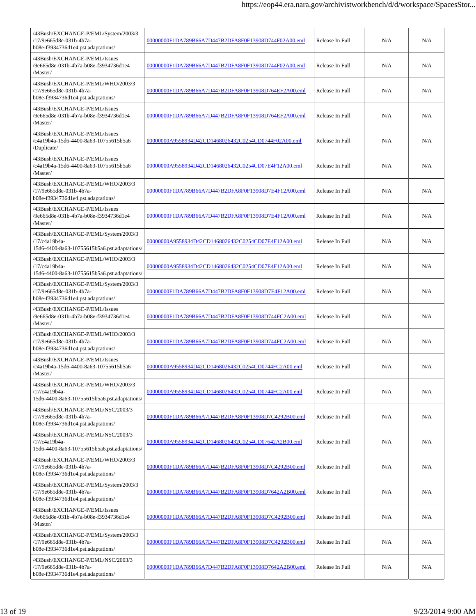| /43Bush/EXCHANGE-P/EML/System/2003/3<br>/17/9e665d8e-031b-4b7a-<br>b08e-f3934736d1e4.pst.adaptations/ | 00000000F1DA789B66A7D447B2DFA8F0F13908D744F02A00.eml | Release In Full | N/A | N/A |
|-------------------------------------------------------------------------------------------------------|------------------------------------------------------|-----------------|-----|-----|
| /43Bush/EXCHANGE-P/EML/Issues<br>/9e665d8e-031b-4b7a-b08e-f3934736d1e4<br>/Master/                    | 00000000F1DA789B66A7D447B2DFA8F0F13908D744F02A00.eml | Release In Full | N/A | N/A |
| /43Bush/EXCHANGE-P/EML/WHO/2003/3<br>/17/9e665d8e-031b-4b7a-<br>b08e-f3934736d1e4.pst.adaptations/    | 00000000F1DA789B66A7D447B2DFA8F0F13908D764EF2A00.eml | Release In Full | N/A | N/A |
| /43Bush/EXCHANGE-P/EML/Issues<br>/9e665d8e-031b-4b7a-b08e-f3934736d1e4<br>/Master/                    | 00000000F1DA789B66A7D447B2DFA8F0F13908D764EF2A00.eml | Release In Full | N/A | N/A |
| /43Bush/EXCHANGE-P/EML/Issues<br>/c4a19b4a-15d6-4400-8a63-10755615b5a6<br>/Duplicate/                 | 00000000A9558934D42CD1468026432C0254CD0744F02A00.eml | Release In Full | N/A | N/A |
| /43Bush/EXCHANGE-P/EML/Issues<br>/c4a19b4a-15d6-4400-8a63-10755615b5a6<br>/Master/                    | 00000000A9558934D42CD1468026432C0254CD07E4F12A00.eml | Release In Full | N/A | N/A |
| /43Bush/EXCHANGE-P/EML/WHO/2003/3<br>/17/9e665d8e-031b-4b7a-<br>b08e-f3934736d1e4.pst.adaptations/    | 00000000F1DA789B66A7D447B2DFA8F0F13908D7E4F12A00.eml | Release In Full | N/A | N/A |
| /43Bush/EXCHANGE-P/EML/Issues<br>/9e665d8e-031b-4b7a-b08e-f3934736d1e4<br>/Master/                    | 00000000F1DA789B66A7D447B2DFA8F0F13908D7E4F12A00.eml | Release In Full | N/A | N/A |
| /43Bush/EXCHANGE-P/EML/System/2003/3<br>/17/c4a19b4a-<br>15d6-4400-8a63-10755615b5a6.pst.adaptations/ | 00000000A9558934D42CD1468026432C0254CD07E4F12A00.eml | Release In Full | N/A | N/A |
| /43Bush/EXCHANGE-P/EML/WHO/2003/3<br>/17/c4a19b4a-<br>15d6-4400-8a63-10755615b5a6.pst.adaptations/    | 00000000A9558934D42CD1468026432C0254CD07E4F12A00.eml | Release In Full | N/A | N/A |
| /43Bush/EXCHANGE-P/EML/System/2003/3<br>/17/9e665d8e-031b-4b7a-<br>b08e-f3934736d1e4.pst.adaptations/ | 00000000F1DA789B66A7D447B2DFA8F0F13908D7E4F12A00.eml | Release In Full | N/A | N/A |
| /43Bush/EXCHANGE-P/EML/Issues<br>/9e665d8e-031b-4b7a-b08e-f3934736d1e4<br>/Master/                    | 00000000F1DA789B66A7D447B2DFA8F0F13908D744FC2A00.eml | Release In Full | N/A | N/A |
| /43Bush/EXCHANGE-P/EML/WHO/2003/3<br>/17/9e665d8e-031b-4b7a-<br>b08e-f3934736d1e4.pst.adaptations/    | 00000000F1DA789B66A7D447B2DFA8F0F13908D744FC2A00.eml | Release In Full | N/A | N/A |
| /43Bush/EXCHANGE-P/EML/Issues<br>/c4a19b4a-15d6-4400-8a63-10755615b5a6<br>/Master/                    | 00000000A9558934D42CD1468026432C0254CD0744FC2A00.eml | Release In Full | N/A | N/A |
| /43Bush/EXCHANGE-P/EML/WHO/2003/3<br>/17/c4a19b4a-<br>15d6-4400-8a63-10755615b5a6.pst.adaptations/    | 00000000A9558934D42CD1468026432C0254CD0744FC2A00.eml | Release In Full | N/A | N/A |
| /43Bush/EXCHANGE-P/EML/NSC/2003/3<br>/17/9e665d8e-031b-4b7a-<br>b08e-f3934736d1e4.pst.adaptations/    | 00000000F1DA789B66A7D447B2DFA8F0F13908D7C4292B00.eml | Release In Full | N/A | N/A |
| /43Bush/EXCHANGE-P/EML/NSC/2003/3<br>/17/c4a19b4a-<br>15d6-4400-8a63-10755615b5a6.pst.adaptations/    | 00000000A9558934D42CD1468026432C0254CD07642A2B00.eml | Release In Full | N/A | N/A |
| /43Bush/EXCHANGE-P/EML/WHO/2003/3<br>/17/9e665d8e-031b-4b7a-<br>b08e-f3934736d1e4.pst.adaptations/    | 00000000F1DA789B66A7D447B2DFA8F0F13908D7C4292B00.eml | Release In Full | N/A | N/A |
| /43Bush/EXCHANGE-P/EML/System/2003/3<br>/17/9e665d8e-031b-4b7a-<br>b08e-f3934736d1e4.pst.adaptations/ | 00000000F1DA789B66A7D447B2DFA8F0F13908D7642A2B00.eml | Release In Full | N/A | N/A |
| /43Bush/EXCHANGE-P/EML/Issues<br>/9e665d8e-031b-4b7a-b08e-f3934736d1e4<br>/Master/                    | 00000000F1DA789B66A7D447B2DFA8F0F13908D7C4292B00.eml | Release In Full | N/A | N/A |
| /43Bush/EXCHANGE-P/EML/System/2003/3<br>/17/9e665d8e-031b-4b7a-<br>b08e-f3934736d1e4.pst.adaptations/ | 00000000F1DA789B66A7D447B2DFA8F0F13908D7C4292B00.eml | Release In Full | N/A | N/A |
| /43Bush/EXCHANGE-P/EML/NSC/2003/3<br>/17/9e665d8e-031b-4b7a-<br>b08e-f3934736d1e4.pst.adaptations/    | 00000000F1DA789B66A7D447B2DFA8F0F13908D7642A2B00.eml | Release In Full | N/A | N/A |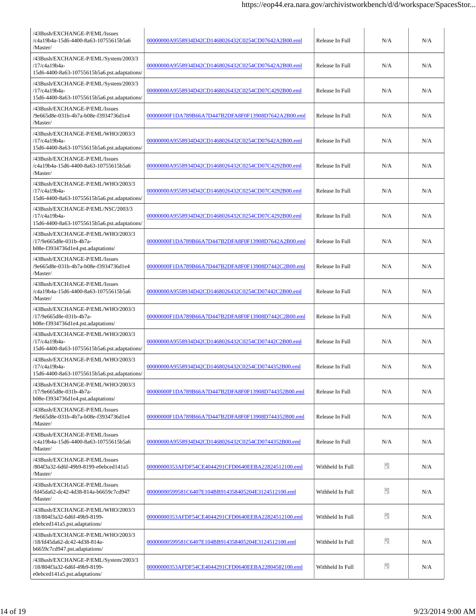| /43Bush/EXCHANGE-P/EML/Issues<br>/c4a19b4a-15d6-4400-8a63-10755615b5a6<br>/Master/                                | 00000000A9558934D42CD1468026432C0254CD07642A2B00.eml | Release In Full  | N/A | N/A |
|-------------------------------------------------------------------------------------------------------------------|------------------------------------------------------|------------------|-----|-----|
| /43Bush/EXCHANGE-P/EML/System/2003/3<br>/17/c4a19b4a-<br>15d6-4400-8a63-10755615b5a6.pst.adaptations/             | 00000000A9558934D42CD1468026432C0254CD07642A2B00.eml | Release In Full  | N/A | N/A |
| /43Bush/EXCHANGE-P/EML/System/2003/3<br>/17/c4a19b4a-<br>15d6-4400-8a63-10755615b5a6.pst.adaptations/             | 00000000A9558934D42CD1468026432C0254CD07C4292B00.eml | Release In Full  | N/A | N/A |
| /43Bush/EXCHANGE-P/EML/Issues<br>/9e665d8e-031b-4b7a-b08e-f3934736d1e4<br>/Master/                                | 00000000F1DA789B66A7D447B2DFA8F0F13908D7642A2B00.eml | Release In Full  | N/A | N/A |
| /43Bush/EXCHANGE-P/EML/WHO/2003/3<br>/17/c4a19b4a-<br>15d6-4400-8a63-10755615b5a6.pst.adaptations/                | 00000000A9558934D42CD1468026432C0254CD07642A2B00.eml | Release In Full  | N/A | N/A |
| /43Bush/EXCHANGE-P/EML/Issues<br>/c4a19b4a-15d6-4400-8a63-10755615b5a6<br>/Master/                                | 00000000A9558934D42CD1468026432C0254CD07C4292B00.eml | Release In Full  | N/A | N/A |
| /43Bush/EXCHANGE-P/EML/WHO/2003/3<br>/17/c4a19b4a-<br>15d6-4400-8a63-10755615b5a6.pst.adaptations/                | 00000000A9558934D42CD1468026432C0254CD07C4292B00.eml | Release In Full  | N/A | N/A |
| /43Bush/EXCHANGE-P/EML/NSC/2003/3<br>/17/c4a19b4a-<br>15d6-4400-8a63-10755615b5a6.pst.adaptations/                | 00000000A9558934D42CD1468026432C0254CD07C4292B00.eml | Release In Full  | N/A | N/A |
| /43Bush/EXCHANGE-P/EML/WHO/2003/3<br>/17/9e665d8e-031b-4b7a-<br>b08e-f3934736d1e4.pst.adaptations/                | 00000000F1DA789B66A7D447B2DFA8F0F13908D7642A2B00.eml | Release In Full  | N/A | N/A |
| /43Bush/EXCHANGE-P/EML/Issues<br>/9e665d8e-031b-4b7a-b08e-f3934736d1e4<br>/Master/                                | 00000000F1DA789B66A7D447B2DFA8F0F13908D7442C2B00.eml | Release In Full  | N/A | N/A |
| /43Bush/EXCHANGE-P/EML/Issues<br>/c4a19b4a-15d6-4400-8a63-10755615b5a6<br>/Master/                                | 00000000A9558934D42CD1468026432C0254CD07442C2B00.eml | Release In Full  | N/A | N/A |
| /43Bush/EXCHANGE-P/EML/WHO/2003/3<br>/17/9e665d8e-031b-4b7a-<br>b08e-f3934736d1e4.pst.adaptations/                | 00000000F1DA789B66A7D447B2DFA8F0F13908D7442C2B00.eml | Release In Full  | N/A | N/A |
| /43Bush/EXCHANGE-P/EML/WHO/2003/3<br>/17/c4a19b4a-<br>15d6-4400-8a63-10755615b5a6.pst.adaptations/                | 00000000A9558934D42CD1468026432C0254CD07442C2B00.eml | Release In Full  | N/A | N/A |
| /43Bush/EXCHANGE-P/EML/WHO/2003/3<br>/17/c4a19b4a-<br>$15d6$ - $4400$ - $8a63$ - $10755615b5a6$ .pst.adaptations/ | 00000000A9558934D42CD1468026432C0254CD0744352B00.eml | Release In Full  | N/A | N/A |
| /43Bush/EXCHANGE-P/EML/WHO/2003/3<br>/17/9e665d8e-031b-4b7a-<br>b08e-f3934736d1e4.pst.adaptations/                | 00000000F1DA789B66A7D447B2DFA8F0F13908D744352B00.eml | Release In Full  | N/A | N/A |
| /43Bush/EXCHANGE-P/EML/Issues<br>9e665d8e-031b-4b7a-b08e-f3934736d1e4<br>/Master/                                 | 00000000F1DA789B66A7D447B2DFA8F0F13908D744352B00.eml | Release In Full  | N/A | N/A |
| /43Bush/EXCHANGE-P/EML/Issues<br>/c4a19b4a-15d6-4400-8a63-10755615b5a6<br>/Master/                                | 00000000A9558934D42CD1468026432C0254CD0744352B00.eml | Release In Full  | N/A | N/A |
| /43Bush/EXCHANGE-P/EML/Issues<br>/804f3a32-6d6f-49b9-8199-e0ebced141a5<br>/Master/                                | 00000000353AFDF54CE4044291CFD0640EEBA22824512100.eml | Withheld In Full | ee. | N/A |
| /43Bush/EXCHANGE-P/EML/Issues<br>/fd45da62-dc42-4d38-814a-b6659c7cd947<br>/Master/                                | 00000000599581C6407E104BB914358405204E3124512100.eml | Withheld In Full | 90  | N/A |
| /43Bush/EXCHANGE-P/EML/WHO/2003/3<br>/18/804f3a32-6d6f-49b9-8199-<br>e0ebced141a5.pst.adaptations/                | 00000000353AFDF54CE4044291CFD0640EEBA22824512100.eml | Withheld In Full | Ŧ   | N/A |
| /43Bush/EXCHANGE-P/EML/WHO/2003/3<br>/18/fd45da62-dc42-4d38-814a-<br>b6659c7cd947.pst.adaptations/                | 00000000599581C6407E104BB914358405204E3124512100.eml | Withheld In Full | 90  | N/A |
| /43Bush/EXCHANGE-P/EML/System/2003/3<br>/18/804f3a32-6d6f-49b9-8199-<br>e0ebced141a5.pst.adaptations/             | 00000000353AFDF54CE4044291CFD0640EEBA22804582100.eml | Withheld In Full | Ŧ   | N/A |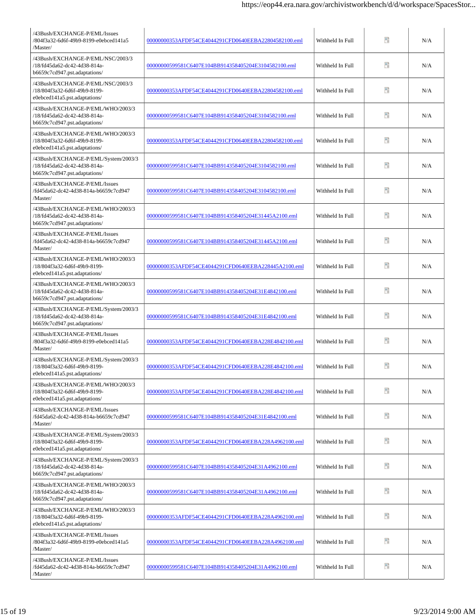| /43Bush/EXCHANGE-P/EML/Issues<br>/804f3a32-6d6f-49b9-8199-e0ebced141a5<br>/Master/                       | 00000000353AFDF54CE4044291CFD0640EEBA22804582100.eml | Withheld In Full | Ħ  | N/A |
|----------------------------------------------------------------------------------------------------------|------------------------------------------------------|------------------|----|-----|
| /43Bush/EXCHANGE-P/EML/NSC/2003/3<br>/18/fd45da62-dc42-4d38-814a-<br>b6659c7cd947.pst.adaptations/       | 00000000599581C6407E104BB914358405204E3104582100.eml | Withheld In Full | n  | N/A |
| /43Bush/EXCHANGE-P/EML/NSC/2003/3<br>/18/804f3a32-6d6f-49b9-8199-<br>e0ebced141a5.pst.adaptations/       | 00000000353AFDF54CE4044291CFD0640EEBA22804582100.eml | Withheld In Full | 90 | N/A |
| /43Bush/EXCHANGE-P/EML/WHO/2003/3<br>/18/fd45da62-dc42-4d38-814a-<br>b6659c7cd947.pst.adaptations/       | 00000000599581C6407E104BB914358405204E3104582100.eml | Withheld In Full | n  | N/A |
| /43Bush/EXCHANGE-P/EML/WHO/2003/3<br>/18/804f3a32-6d6f-49b9-8199-<br>e0ebced141a5.pst.adaptations/       | 00000000353AFDF54CE4044291CFD0640EEBA22804582100.eml | Withheld In Full | 90 | N/A |
| /43Bush/EXCHANGE-P/EML/System/2003/3<br>/18/fd45da62-dc42-4d38-814a-<br>b6659c7cd947.pst.adaptations/    | 00000000599581C6407E104BB914358405204E3104582100.eml | Withheld In Full | n  | N/A |
| /43Bush/EXCHANGE-P/EML/Issues<br>/fd45da62-dc42-4d38-814a-b6659c7cd947<br>/Master/                       | 00000000599581C6407E104BB914358405204E3104582100.eml | Withheld In Full | n  | N/A |
| /43Bush/EXCHANGE-P/EML/WHO/2003/3<br>/18/fd45da62-dc42-4d38-814a-<br>b6659c7cd947.pst.adaptations/       | 00000000599581C6407E104BB914358405204E31445A2100.eml | Withheld In Full | 醋  | N/A |
| /43Bush/EXCHANGE-P/EML/Issues<br>/fd45da62-dc42-4d38-814a-b6659c7cd947<br>/Master/                       | 00000000599581C6407E104BB914358405204E31445A2100.eml | Withheld In Full | n  | N/A |
| /43Bush/EXCHANGE-P/EML/WHO/2003/3<br>/18/804f3a32-6d6f-49b9-8199-<br>e0ebced141a5.pst.adaptations/       | 00000000353AFDF54CE4044291CFD0640EEBA228445A2100.eml | Withheld In Full | n  | N/A |
| /43Bush/EXCHANGE-P/EML/WHO/2003/3<br>/18/fd45da62-dc42-4d38-814a-<br>b6659c7cd947.pst.adaptations/       | 00000000599581C6407E104BB914358405204E31E4842100.eml | Withheld In Full | 醋  | N/A |
| /43Bush/EXCHANGE-P/EML/System/2003/3<br>/18/fd45da62-dc42-4d38-814a-<br>b6659c7cd947.pst.adaptations/    | 00000000599581C6407E104BB914358405204E31E4842100.eml | Withheld In Full | ÷, | N/A |
| /43Bush/EXCHANGE-P/EML/Issues<br>/804f3a32-6d6f-49b9-8199-e0ebced141a5<br>/Master/                       | 00000000353AFDF54CE4044291CFD0640EEBA228E4842100.eml | Withheld In Full | 醋  | N/A |
| /43Bush/EXCHANGE-P/EML/System/2003/3<br>/18/804f3a32-6d6f-49b9-8199-<br>$e0ebeed141a5.pst. adaptations/$ | 00000000353AFDF54CE4044291CFD0640EEBA228E4842100.eml | Withheld In Full | m  | N/A |
| /43Bush/EXCHANGE-P/EML/WHO/2003/3<br>/18/804f3a32-6d6f-49b9-8199-<br>e0ebced141a5.pst.adaptations/       | 00000000353AFDF54CE4044291CFD0640EEBA228E4842100.eml | Withheld In Full | n  | N/A |
| /43Bush/EXCHANGE-P/EML/Issues<br>/fd45da62-dc42-4d38-814a-b6659c7cd947<br>/Master/                       | 00000000599581C6407E104BB914358405204E31E4842100.eml | Withheld In Full | 9  | N/A |
| /43Bush/EXCHANGE-P/EML/System/2003/3<br>/18/804f3a32-6d6f-49b9-8199-<br>e0ebced141a5.pst.adaptations/    | 00000000353AFDF54CE4044291CFD0640EEBA228A4962100.eml | Withheld In Full | Ŧ  | N/A |
| /43Bush/EXCHANGE-P/EML/System/2003/3<br>/18/fd45da62-dc42-4d38-814a-<br>b6659c7cd947.pst.adaptations/    | 00000000599581C6407E104BB914358405204E31A4962100.eml | Withheld In Full | 50 | N/A |
| /43Bush/EXCHANGE-P/EML/WHO/2003/3<br>/18/fd45da62-dc42-4d38-814a-<br>b6659c7cd947.pst.adaptations/       | 00000000599581C6407E104BB914358405204E31A4962100.eml | Withheld In Full | 90 | N/A |
| /43Bush/EXCHANGE-P/EML/WHO/2003/3<br>/18/804f3a32-6d6f-49b9-8199-<br>e0ebced141a5.pst.adaptations/       | 00000000353AFDF54CE4044291CFD0640EEBA228A4962100.eml | Withheld In Full | 90 | N/A |
| /43Bush/EXCHANGE-P/EML/Issues<br>/804f3a32-6d6f-49b9-8199-e0ebced141a5<br>/Master/                       | 00000000353AFDF54CE4044291CFD0640EEBA228A4962100.eml | Withheld In Full | n  | N/A |
| /43Bush/EXCHANGE-P/EML/Issues<br>/fd45da62-dc42-4d38-814a-b6659c7cd947<br>/Master/                       | 00000000599581C6407E104BB914358405204E31A4962100.eml | Withheld In Full | Ŧ  | N/A |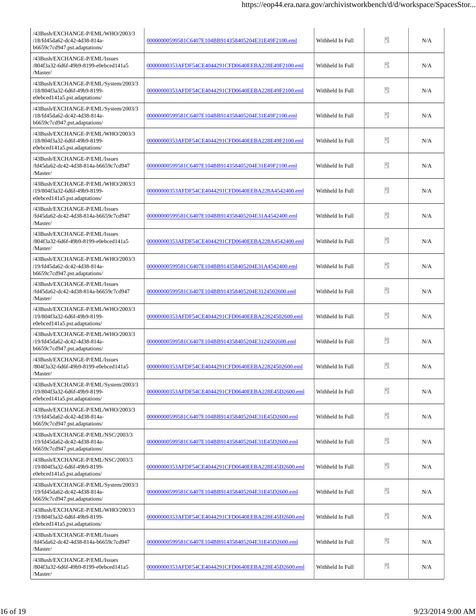| /43Bush/EXCHANGE-P/EML/WHO/2003/3<br>/18/fd45da62-dc42-4d38-814a-<br>b6659c7cd947.pst.adaptations/    | 00000000599581C6407E104BB914358405204E31E49F2100.eml | Withheld In Full | Đ   | N/A |
|-------------------------------------------------------------------------------------------------------|------------------------------------------------------|------------------|-----|-----|
| /43Bush/EXCHANGE-P/EML/Issues<br>/804f3a32-6d6f-49b9-8199-e0ebced141a5<br>/Master/                    | 00000000353AFDF54CE4044291CFD0640EEBA228E49F2100.eml | Withheld In Full | 90  | N/A |
| /43Bush/EXCHANGE-P/EML/System/2003/3<br>/18/804f3a32-6d6f-49b9-8199-<br>e0ebced141a5.pst.adaptations/ | 00000000353AFDF54CE4044291CFD0640EEBA228E49F2100.eml | Withheld In Full | 昵   | N/A |
| /43Bush/EXCHANGE-P/EML/System/2003/3<br>/18/fd45da62-dc42-4d38-814a-<br>b6659c7cd947.pst.adaptations/ | 00000000599581C6407E104BB914358405204E31E49F2100.eml | Withheld In Full | 昵   | N/A |
| /43Bush/EXCHANGE-P/EML/WHO/2003/3<br>/18/804f3a32-6d6f-49b9-8199-<br>e0ebced141a5.pst.adaptations/    | 00000000353AFDF54CE4044291CFD0640EEBA228E49F2100.eml | Withheld In Full | Ŧ   | N/A |
| /43Bush/EXCHANGE-P/EML/Issues<br>/fd45da62-dc42-4d38-814a-b6659c7cd947<br>/Master/                    | 00000000599581C6407E104BB914358405204E31E49F2100.eml | Withheld In Full | Ŧ.  | N/A |
| /43Bush/EXCHANGE-P/EML/WHO/2003/3<br>/19/804f3a32-6d6f-49b9-8199-<br>e0ebced141a5.pst.adaptations/    | 00000000353AFDF54CE4044291CFD0640EEBA228A4542400.eml | Withheld In Full | 昵   | N/A |
| /43Bush/EXCHANGE-P/EML/Issues<br>/fd45da62-dc42-4d38-814a-b6659c7cd947<br>/Master/                    | 00000000599581C6407E104BB914358405204E31A4542400.eml | Withheld In Full | Ŧ   | N/A |
| /43Bush/EXCHANGE-P/EML/Issues<br>/804f3a32-6d6f-49b9-8199-e0ebced141a5<br>/Master/                    | 00000000353AFDF54CE4044291CFD0640EEBA228A4542400.eml | Withheld In Full | 90  | N/A |
| /43Bush/EXCHANGE-P/EML/WHO/2003/3<br>/19/fd45da62-dc42-4d38-814a-<br>b6659c7cd947.pst.adaptations/    | 00000000599581C6407E104BB914358405204E31A4542400.eml | Withheld In Full | PD. | N/A |
| /43Bush/EXCHANGE-P/EML/Issues<br>/fd45da62-dc42-4d38-814a-b6659c7cd947<br>/Master/                    | 00000000599581C6407E104BB914358405204E3124502600.eml | Withheld In Full | n   | N/A |
| /43Bush/EXCHANGE-P/EML/WHO/2003/3<br>/19/804f3a32-6d6f-49b9-8199-<br>e0ebced141a5.pst.adaptations/    | 00000000353AFDF54CE4044291CFD0640EEBA22824502600.eml | Withheld In Full | P)  | N/A |
| /43Bush/EXCHANGE-P/EML/WHO/2003/3<br>/19/fd45da62-dc42-4d38-814a-<br>b6659c7cd947.pst.adaptations/    | 00000000599581C6407E104BB914358405204E3124502600.eml | Withheld In Full | n   | N/A |
| /43Bush/EXCHANGE-P/EML/Issues<br>/804f3a32-6d6f-49b9-8199-e0ebced141a5<br>/Master/                    | 00000000353AFDF54CE4044291CFD0640EEBA22824502600.eml | Withheld In Full | ÷.  | N/A |
| /43Bush/EXCHANGE-P/EML/System/2003/3<br>/19/804f3a32-6d6f-49b9-8199-<br>e0ebced141a5.pst.adaptations/ | 00000000353AFDF54CE4044291CFD0640EEBA228E45D2600.eml | Withheld In Full | 昵   | N/A |
| /43Bush/EXCHANGE-P/EML/WHO/2003/3<br>/19/fd45da62-dc42-4d38-814a-<br>b6659c7cd947.pst.adaptations/    | 00000000599581C6407E104BB914358405204E31E45D2600.eml | Withheld In Full | ÷.  | N/A |
| /43Bush/EXCHANGE-P/EML/NSC/2003/3<br>/19/fd45da62-dc42-4d38-814a-<br>b6659c7cd947.pst.adaptations/    | 00000000599581C6407E104BB914358405204E31E45D2600.eml | Withheld In Full | Ŧ   | N/A |
| /43Bush/EXCHANGE-P/EML/NSC/2003/3<br>/19/804f3a32-6d6f-49b9-8199-<br>e0ebced141a5.pst.adaptations/    | 00000000353AFDF54CE4044291CFD0640EEBA228E45D2600.eml | Withheld In Full | ÷.  | N/A |
| /43Bush/EXCHANGE-P/EML/System/2003/3<br>/19/fd45da62-dc42-4d38-814a-<br>b6659c7cd947.pst.adaptations/ | 00000000599581C6407E104BB914358405204E31E45D2600.eml | Withheld In Full | 90  | N/A |
| /43Bush/EXCHANGE-P/EML/WHO/2003/3<br>/19/804f3a32-6d6f-49b9-8199-<br>e0ebced141a5.pst.adaptations/    | 00000000353AFDF54CE4044291CFD0640EEBA228E45D2600.eml | Withheld In Full | 昵   | N/A |
| /43Bush/EXCHANGE-P/EML/Issues<br>/fd45da62-dc42-4d38-814a-b6659c7cd947<br>/Master/                    | 00000000599581C6407E104BB914358405204E31E45D2600.eml | Withheld In Full | 昵   | N/A |
| /43Bush/EXCHANGE-P/EML/Issues<br>/804f3a32-6d6f-49b9-8199-e0ebced141a5<br>/Master/                    | 00000000353AFDF54CE4044291CFD0640EEBA228E45D2600.eml | Withheld In Full | 50  | N/A |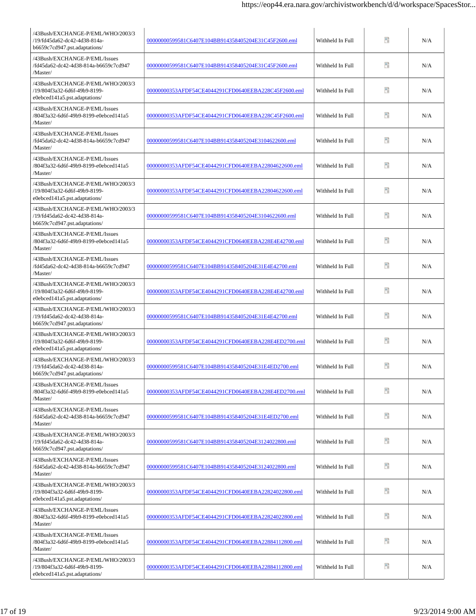| /43Bush/EXCHANGE-P/EML/WHO/2003/3<br>/19/fd45da62-dc42-4d38-814a-<br>b6659c7cd947.pst.adaptations/ | 00000000599581C6407E104BB914358405204E31C45F2600.eml | Withheld In Full | Ħ  | N/A |
|----------------------------------------------------------------------------------------------------|------------------------------------------------------|------------------|----|-----|
| /43Bush/EXCHANGE-P/EML/Issues<br>/fd45da62-dc42-4d38-814a-b6659c7cd947<br>/Master/                 | 00000000599581C6407E104BB914358405204E31C45F2600.eml | Withheld In Full | n  | N/A |
| /43Bush/EXCHANGE-P/EML/WHO/2003/3<br>/19/804f3a32-6d6f-49b9-8199-<br>e0ebced141a5.pst.adaptations/ | 00000000353AFDF54CE4044291CFD0640EEBA228C45F2600.eml | Withheld In Full | n  | N/A |
| /43Bush/EXCHANGE-P/EML/Issues<br>/804f3a32-6d6f-49b9-8199-e0ebced141a5<br>/Master/                 | 00000000353AFDF54CE4044291CFD0640EEBA228C45F2600.eml | Withheld In Full | n  | N/A |
| /43Bush/EXCHANGE-P/EML/Issues<br>/fd45da62-dc42-4d38-814a-b6659c7cd947<br>/Master/                 | 00000000599581C6407E104BB914358405204E3104622600.eml | Withheld In Full | n  | N/A |
| /43Bush/EXCHANGE-P/EML/Issues<br>/804f3a32-6d6f-49b9-8199-e0ebced141a5<br>/Master/                 | 00000000353AFDF54CE4044291CFD0640EEBA22804622600.eml | Withheld In Full | n  | N/A |
| /43Bush/EXCHANGE-P/EML/WHO/2003/3<br>/19/804f3a32-6d6f-49b9-8199-<br>e0ebced141a5.pst.adaptations/ | 00000000353AFDF54CE4044291CFD0640EEBA22804622600.eml | Withheld In Full | n  | N/A |
| /43Bush/EXCHANGE-P/EML/WHO/2003/3<br>/19/fd45da62-dc42-4d38-814a-<br>b6659c7cd947.pst.adaptations/ | 00000000599581C6407E104BB914358405204E3104622600.eml | Withheld In Full | 醋  | N/A |
| /43Bush/EXCHANGE-P/EML/Issues<br>/804f3a32-6d6f-49b9-8199-e0ebced141a5<br>/Master/                 | 00000000353AFDF54CE4044291CFD0640EEBA228E4E42700.eml | Withheld In Full | n  | N/A |
| /43Bush/EXCHANGE-P/EML/Issues<br>/fd45da62-dc42-4d38-814a-b6659c7cd947<br>/Master/                 | 00000000599581C6407E104BB914358405204E31E4E42700.eml | Withheld In Full | m  | N/A |
| /43Bush/EXCHANGE-P/EML/WHO/2003/3<br>/19/804f3a32-6d6f-49b9-8199-<br>e0ebced141a5.pst.adaptations/ | 00000000353AFDF54CE4044291CFD0640EEBA228E4E42700.eml | Withheld In Full | 醋  | N/A |
| /43Bush/EXCHANGE-P/EML/WHO/2003/3<br>/19/fd45da62-dc42-4d38-814a-<br>b6659c7cd947.pst.adaptations/ | 00000000599581C6407E104BB914358405204E31E4E42700.eml | Withheld In Full | n  | N/A |
| /43Bush/EXCHANGE-P/EML/WHO/2003/3<br>/19/804f3a32-6d6f-49b9-8199-<br>e0ebced141a5.pst.adaptations/ | 00000000353AFDF54CE4044291CFD0640EEBA228E4ED2700.eml | Withheld In Full | n  | N/A |
| /43Bush/EXCHANGE-P/EML/WHO/2003/3<br>/19/fd45da62-dc42-4d38-814a-<br>b6659c7cd947.pst.adaptations/ | 00000000599581C6407E104BB914358405204E31E4ED2700.eml | Withheld In Full | Ŧ. | N/A |
| /43Bush/EXCHANGE-P/EML/Issues<br>/804f3a32-6d6f-49b9-8199-e0ebced141a5<br>/Master/                 | 00000000353AFDF54CE4044291CFD0640EEBA228E4ED2700.eml | Withheld In Full | ÷. | N/A |
| /43Bush/EXCHANGE-P/EML/Issues<br>/fd45da62-dc42-4d38-814a-b6659c7cd947<br>/Master/                 | 00000000599581C6407E104BB914358405204E31E4ED2700.eml | Withheld In Full | 50 | N/A |
| /43Bush/EXCHANGE-P/EML/WHO/2003/3<br>/19/fd45da62-dc42-4d38-814a-<br>b6659c7cd947.pst.adaptations/ | 00000000599581C6407E104BB914358405204E3124022800.eml | Withheld In Full | Ŧ  | N/A |
| /43Bush/EXCHANGE-P/EML/Issues<br>/fd45da62-dc42-4d38-814a-b6659c7cd947<br>/Master/                 | 00000000599581C6407E104BB914358405204E3124022800.eml | Withheld In Full | 90 | N/A |
| /43Bush/EXCHANGE-P/EML/WHO/2003/3<br>/19/804f3a32-6d6f-49b9-8199-<br>e0ebced141a5.pst.adaptations/ | 00000000353AFDF54CE4044291CFD0640EEBA22824022800.eml | Withheld In Full | 50 | N/A |
| /43Bush/EXCHANGE-P/EML/Issues<br>/804f3a32-6d6f-49b9-8199-e0ebced141a5<br>/Master/                 | 00000000353AFDF54CE4044291CFD0640EEBA22824022800.eml | Withheld In Full | 90 | N/A |
| /43Bush/EXCHANGE-P/EML/Issues<br>/804f3a32-6d6f-49b9-8199-e0ebced141a5<br>/Master/                 | 00000000353AFDF54CE4044291CFD0640EEBA22884112800.eml | Withheld In Full | 90 | N/A |
| /43Bush/EXCHANGE-P/EML/WHO/2003/3<br>/19/804f3a32-6d6f-49b9-8199-<br>e0ebced141a5.pst.adaptations/ | 00000000353AFDF54CE4044291CFD0640EEBA22884112800.eml | Withheld In Full | ÷. | N/A |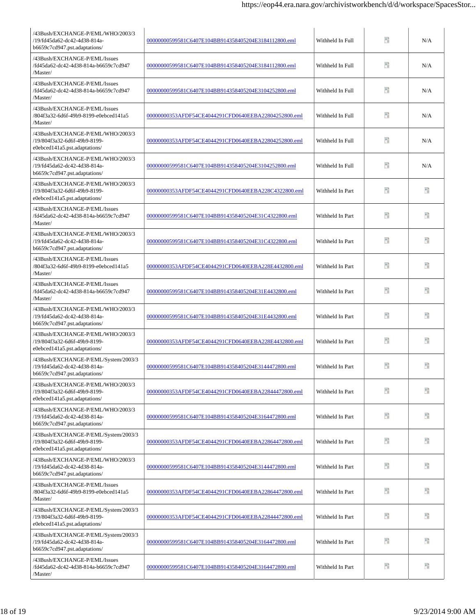| /43Bush/EXCHANGE-P/EML/WHO/2003/3<br>/19/fd45da62-dc42-4d38-814a-<br>b6659c7cd947.pst.adaptations/      | 00000000599581C6407E104BB914358405204E3184112800.eml | Withheld In Full | Ħ  | N/A |
|---------------------------------------------------------------------------------------------------------|------------------------------------------------------|------------------|----|-----|
| /43Bush/EXCHANGE-P/EML/Issues<br>/fd45da62-dc42-4d38-814a-b6659c7cd947<br>/Master/                      | 00000000599581C6407E104BB914358405204E3184112800.eml | Withheld In Full | n  | N/A |
| /43Bush/EXCHANGE-P/EML/Issues<br>/fd45da62-dc42-4d38-814a-b6659c7cd947<br>/Master/                      | 00000000599581C6407E104BB914358405204E3104252800.eml | Withheld In Full | n  | N/A |
| /43Bush/EXCHANGE-P/EML/Issues<br>/804f3a32-6d6f-49b9-8199-e0ebced141a5<br>/Master/                      | 00000000353AFDF54CE4044291CFD0640EEBA22804252800.eml | Withheld In Full | n  | N/A |
| /43Bush/EXCHANGE-P/EML/WHO/2003/3<br>/19/804f3a32-6d6f-49b9-8199-<br>e0ebced141a5.pst.adaptations/      | 00000000353AFDF54CE4044291CFD0640EEBA22804252800.eml | Withheld In Full | n  | N/A |
| /43Bush/EXCHANGE-P/EML/WHO/2003/3<br>/19/fd45da62-dc42-4d38-814a-<br>b6659c7cd947.pst.adaptations/      | 00000000599581C6407E104BB914358405204E3104252800.eml | Withheld In Full | n  | N/A |
| /43Bush/EXCHANGE-P/EML/WHO/2003/3<br>/19/804f3a32-6d6f-49b9-8199-<br>e0ebced141a5.pst.adaptations/      | 00000000353AFDF54CE4044291CFD0640EEBA228C4322800.eml | Withheld In Part | n  | n   |
| /43Bush/EXCHANGE-P/EML/Issues<br>/fd45da62-dc42-4d38-814a-b6659c7cd947<br>/Master/                      | 00000000599581C6407E104BB914358405204E31C4322800.eml | Withheld In Part | n  | 醋   |
| /43Bush/EXCHANGE-P/EML/WHO/2003/3<br>/19/fd45da62-dc42-4d38-814a-<br>b6659c7cd947.pst.adaptations/      | 00000000599581C6407E104BB914358405204E31C4322800.eml | Withheld In Part | n  | Ħ   |
| /43Bush/EXCHANGE-P/EML/Issues<br>/804f3a32-6d6f-49b9-8199-e0ebced141a5<br>/Master/                      | 00000000353AFDF54CE4044291CFD0640EEBA228E4432800.eml | Withheld In Part | m  | Ħ   |
| /43Bush/EXCHANGE-P/EML/Issues<br>/fd45da62-dc42-4d38-814a-b6659c7cd947<br>/Master/                      | 00000000599581C6407E104BB914358405204E31E4432800.eml | Withheld In Part | 醋  | 醋   |
| /43Bush/EXCHANGE-P/EML/WHO/2003/3<br>/19/fd45da62-dc42-4d38-814a-<br>b6659c7cd947.pst.adaptations/      | 00000000599581C6407E104BB914358405204E31E4432800.eml | Withheld In Part | n  | £   |
| /43Bush/EXCHANGE-P/EML/WHO/2003/3<br>/19/804f3a32-6d6f-49b9-8199-<br>e0ebced141a5.pst.adaptations/      | 00000000353AFDF54CE4044291CFD0640EEBA228E4432800.eml | Withheld In Part | n  | ÷.  |
| /43Bush/EXCHANGE-P/EML/System/2003/3<br>/19/fd45da62-dc42-4d38-814a-<br>$b6659c7cd947.pst.adaptations/$ | 00000000599581C6407E104BB914358405204E3144472800.eml | Withheld In Part | B  | Ħ.  |
| /43Bush/EXCHANGE-P/EML/WHO/2003/3<br>/19/804f3a32-6d6f-49b9-8199-<br>e0ebced141a5.pst.adaptations/      | 00000000353AFDF54CE4044291CFD0640EEBA22844472800.eml | Withheld In Part | n  | Ħ.  |
| /43Bush/EXCHANGE-P/EML/WHO/2003/3<br>/19/fd45da62-dc42-4d38-814a-<br>b6659c7cd947.pst.adaptations/      | 00000000599581C6407E104BB914358405204E3164472800.eml | Withheld In Part | 50 | £.  |
| /43Bush/EXCHANGE-P/EML/System/2003/3<br>/19/804f3a32-6d6f-49b9-8199-<br>e0ebced141a5.pst.adaptations/   | 00000000353AFDF54CE4044291CFD0640EEBA22864472800.eml | Withheld In Part | Ŧ  | B   |
| /43Bush/EXCHANGE-P/EML/WHO/2003/3<br>/19/fd45da62-dc42-4d38-814a-<br>b6659c7cd947.pst.adaptations/      | 00000000599581C6407E104BB914358405204E3144472800.eml | Withheld In Part | n  | 醋   |
| /43Bush/EXCHANGE-P/EML/Issues<br>/804f3a32-6d6f-49b9-8199-e0ebced141a5<br>/Master/                      | 00000000353AFDF54CE4044291CFD0640EEBA22864472800.eml | Withheld In Part | n  | 9   |
| /43Bush/EXCHANGE-P/EML/System/2003/3<br>/19/804f3a32-6d6f-49b9-8199-<br>e0ebced141a5.pst.adaptations/   | 00000000353AFDF54CE4044291CFD0640EEBA22844472800.eml | Withheld In Part | 昵  | Ŧ   |
| /43Bush/EXCHANGE-P/EML/System/2003/3<br>/19/fd45da62-dc42-4d38-814a-<br>b6659c7cd947.pst.adaptations/   | 00000000599581C6407E104BB914358405204E3164472800.eml | Withheld In Part | n  | n   |
| /43Bush/EXCHANGE-P/EML/Issues<br>/fd45da62-dc42-4d38-814a-b6659c7cd947<br>/Master/                      | 00000000599581C6407E104BB914358405204E3164472800.eml | Withheld In Part | ÷. | 體   |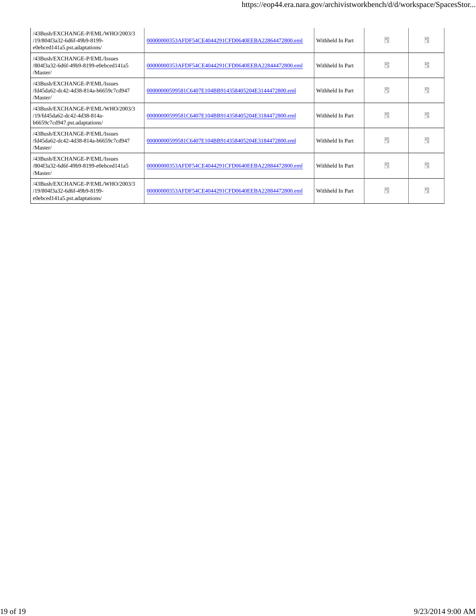| /43Bush/EXCHANGE-P/EML/WHO/2003/3<br>/19/804f3a32-6d6f-49b9-8199-<br>e0ebced141a5.pst.adaptations/ | 00000000353AFDF54CE4044291CFD0640EEBA22864472800.eml | Withheld In Part | n | a in                  |
|----------------------------------------------------------------------------------------------------|------------------------------------------------------|------------------|---|-----------------------|
| /43Bush/EXCHANGE-P/EML/Issues<br>/804f3a32-6d6f-49b9-8199-e0ebced141a5<br>/Master/                 | 00000000353AFDF54CE4044291CFD0640EEBA22844472800.eml | Withheld In Part | n | n                     |
| /43Bush/EXCHANGE-P/EML/Issues<br>/fd45da62-dc42-4d38-814a-b6659c7cd947<br>/Master/                 | 00000000599581C6407E104BB914358405204E3144472800.eml | Withheld In Part | n | n                     |
| /43Bush/EXCHANGE-P/EML/WHO/2003/3<br>/19/fd45da62-dc42-4d38-814a-<br>b6659c7cd947.pst.adaptations/ | 00000000599581C6407E104BB914358405204E3184472800.eml | Withheld In Part | n | <b>A</b> <sub>2</sub> |
| /43Bush/EXCHANGE-P/EML/Issues<br>/fd45da62-dc42-4d38-814a-b6659c7cd947<br>/Master/                 | 00000000599581C6407E104BB914358405204E3184472800.eml | Withheld In Part | n | 暗                     |
| /43Bush/EXCHANGE-P/EML/Issues<br>/804f3a32-6d6f-49b9-8199-e0ebced141a5<br>/Master/                 | 00000000353AFDF54CE4044291CFD0640EEBA22884472800.eml | Withheld In Part | n | a <sup>2</sup>        |
| /43Bush/EXCHANGE-P/EML/WHO/2003/3<br>/19/804f3a32-6d6f-49b9-8199-<br>e0ebced141a5.pst.adaptations/ | 00000000353AFDF54CF4044291CFD0640EEBA22884472800.eml | Withheld In Part | n | a <sup>2</sup>        |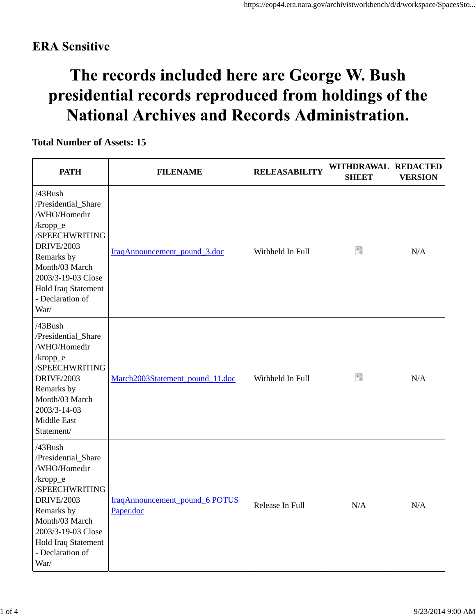## **ERA** Sensitive

# The records included here are George W. Bush presidential records reproduced from holdings of the **National Archives and Records Administration.**

## **Total Number of Assets: 15**

| <b>PATH</b>                                                                                                                                                                                                   | <b>FILENAME</b>                             | <b>RELEASABILITY</b> | <b>WITHDRAWAL</b><br><b>SHEET</b> | <b>REDACTED</b><br><b>VERSION</b> |
|---------------------------------------------------------------------------------------------------------------------------------------------------------------------------------------------------------------|---------------------------------------------|----------------------|-----------------------------------|-----------------------------------|
| /43Bush<br>/Presidential_Share<br>/WHO/Homedir<br>/kropp_e<br>/SPEECHWRITING<br><b>DRIVE/2003</b><br>Remarks by<br>Month/03 March<br>2003/3-19-03 Close<br>Hold Iraq Statement<br>- Declaration of<br>War/    | IraqAnnouncement_pound_3.doc                | Withheld In Full     | Đ                                 | N/A                               |
| /43Bush<br>/Presidential_Share<br>/WHO/Homedir<br>$/$ kropp_e<br>/SPEECHWRITING<br><b>DRIVE/2003</b><br>Remarks by<br>Month/03 March<br>2003/3-14-03<br>Middle East<br>Statement/                             | March2003Statement_pound_11.doc             | Withheld In Full     | Đ                                 | N/A                               |
| /43Bush<br>/Presidential_Share<br>/WHO/Homedir<br>$/$ kropp_e<br>/SPEECHWRITING<br><b>DRIVE/2003</b><br>Remarks by<br>Month/03 March<br>2003/3-19-03 Close<br>Hold Iraq Statement<br>- Declaration of<br>War/ | IraqAnnouncement_pound_6 POTUS<br>Paper.doc | Release In Full      | N/A                               | N/A                               |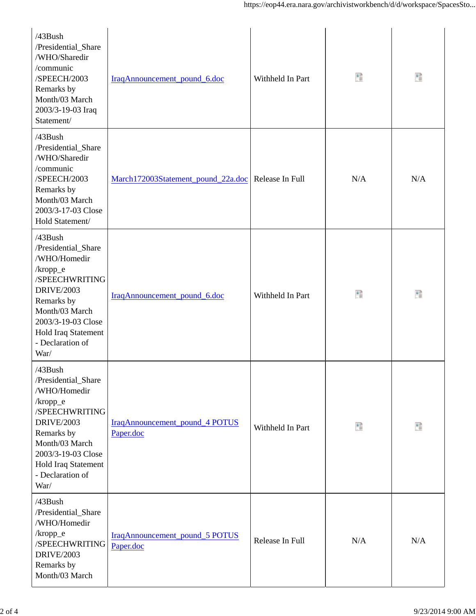| $/43$ Bush<br>/Presidential_Share<br>/WHO/Sharedir<br>/communic<br>/SPEECH/2003<br>Remarks by<br>Month/03 March<br>2003/3-19-03 Iraq<br>Statement/                                                               | IraqAnnouncement_pound_6.doc                | Withheld In Part | Ŧ   | 猎   |
|------------------------------------------------------------------------------------------------------------------------------------------------------------------------------------------------------------------|---------------------------------------------|------------------|-----|-----|
| $/43$ Bush<br>/Presidential_Share<br>/WHO/Sharedir<br>/communic<br>/SPEECH/2003<br>Remarks by<br>Month/03 March<br>2003/3-17-03 Close<br>Hold Statement/                                                         | March172003Statement_pound_22a.doc          | Release In Full  | N/A | N/A |
| $/43$ Bush<br>/Presidential_Share<br>/WHO/Homedir<br>$/$ kropp_e<br>/SPEECHWRITING<br><b>DRIVE/2003</b><br>Remarks by<br>Month/03 March<br>2003/3-19-03 Close<br>Hold Iraq Statement<br>- Declaration of<br>War/ | IraqAnnouncement_pound_6.doc                | Withheld In Part | Ŧ   | 腊   |
| /43Bush<br>/Presidential_Share<br>/WHO/Homedir<br>/kropp_e<br>/SPEECHWRITING<br><b>DRIVE/2003</b><br>Remarks by<br>Month/03 March<br>2003/3-19-03 Close<br>Hold Iraq Statement<br>- Declaration of<br>War/       | IraqAnnouncement_pound_4 POTUS<br>Paper.doc | Withheld In Part | Đ   | 醋   |
| /43Bush<br>/Presidential_Share<br>/WHO/Homedir<br>/kropp_e<br>/SPEECHWRITING<br><b>DRIVE/2003</b><br>Remarks by<br>Month/03 March                                                                                | IraqAnnouncement_pound_5 POTUS<br>Paper.doc | Release In Full  | N/A | N/A |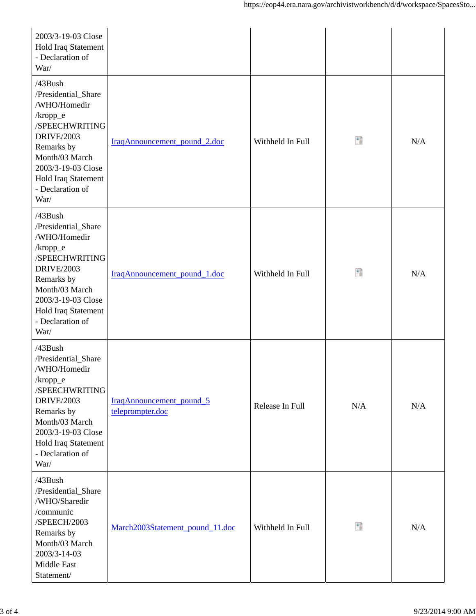| 2003/3-19-03 Close<br>Hold Iraq Statement<br>- Declaration of<br>War/                                                                                                                                         |                                                     |                  |     |     |
|---------------------------------------------------------------------------------------------------------------------------------------------------------------------------------------------------------------|-----------------------------------------------------|------------------|-----|-----|
| /43Bush<br>/Presidential_Share<br>/WHO/Homedir<br>/kropp_e<br>/SPEECHWRITING<br><b>DRIVE/2003</b><br>Remarks by<br>Month/03 March<br>2003/3-19-03 Close<br>Hold Iraq Statement<br>- Declaration of<br>War/    | IraqAnnouncement_pound_2.doc                        | Withheld In Full | Đ   | N/A |
| $/43$ Bush<br>/Presidential_Share<br>/WHO/Homedir<br>/kropp_e<br>/SPEECHWRITING<br><b>DRIVE/2003</b><br>Remarks by<br>Month/03 March<br>2003/3-19-03 Close<br>Hold Iraq Statement<br>- Declaration of<br>War/ | IraqAnnouncement_pound_1.doc                        | Withheld In Full | Đ   | N/A |
| /43Bush<br>/Presidential_Share<br>/WHO/Homedir<br>/kropp_e<br>/SPEECHWRITING<br><b>DRIVE/2003</b><br>Remarks by<br>Month/03 March<br>2003/3-19-03 Close<br>Hold Iraq Statement<br>- Declaration of<br>War/    | <b>IraqAnnouncement_pound_5</b><br>teleprompter.doc | Release In Full  | N/A | N/A |
| /43Bush<br>/Presidential_Share<br>/WHO/Sharedir<br>/communic<br>/SPEECH/2003<br>Remarks by<br>Month/03 March<br>2003/3-14-03<br>Middle East<br>Statement/                                                     | March2003Statement_pound_11.doc                     | Withheld In Full | Đ   | N/A |